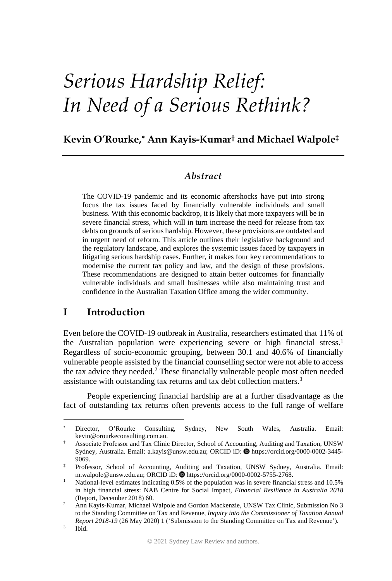# *Serious Hardship Relief: In Need of a Serious Rethink?*

## **Kevin O'Rourke, Ann Kayis-Kumar† and Michael Walpole‡**

## *Abstract*

The COVID-19 pandemic and its economic aftershocks have put into strong focus the tax issues faced by financially vulnerable individuals and small business. With this economic backdrop, it is likely that more taxpayers will be in severe financial stress, which will in turn increase the need for release from tax debts on grounds of serious hardship. However, these provisions are outdated and in urgent need of reform. This article outlines their legislative background and the regulatory landscape, and explores the systemic issues faced by taxpayers in litigating serious hardship cases. Further, it makes four key recommendations to modernise the current tax policy and law, and the design of these provisions. These recommendations are designed to attain better outcomes for financially vulnerable individuals and small businesses while also maintaining trust and confidence in the Australian Taxation Office among the wider community.

## **I Introduction**

Even before the COVID-19 outbreak in Australia, researchers estimated that 11% of the Australian population were experiencing severe or high financial stress.<sup>1</sup> Regardless of socio-economic grouping, between 30.1 and 40.6% of financially vulnerable people assisted by the financial counselling sector were not able to access the tax advice they needed.<sup>2</sup> These financially vulnerable people most often needed assistance with outstanding tax returns and tax debt collection matters.3

People experiencing financial hardship are at a further disadvantage as the fact of outstanding tax returns often prevents access to the full range of welfare

Director, O'Rourke Consulting, Sydney, New South Wales, Australia. Email: kevin@orourkeconsulting.com.au. †

Associate Professor and Tax Clinic Director, School of Accounting, Auditing and Taxation, UNSW Sydney, Australia. Email: a.kayis@unsw.edu.au; ORCID iD: @ https://orcid.org/0000-0002-3445-9069.

<sup>‡</sup> Professor, School of Accounting, Auditing and Taxation, UNSW Sydney, Australia. Email: m.walpole@unsw.edu.au; ORCID iD: @https://orcid.org/0000-0002-5755-2768.

National-level estimates indicating 0.5% of the population was in severe financial stress and 10.5% in high financial stress: NAB Centre for Social Impact, *Financial Resilience in Australia 2018* (Report, December 2018) 60. 2

Ann Kayis-Kumar, Michael Walpole and Gordon Mackenzie, UNSW Tax Clinic, Submission No 3 to the Standing Committee on Tax and Revenue, *Inquiry into the Commissioner of Taxation Annual Report 2018-19* (26 May 2020) 1 ('Submission to the Standing Committee on Tax and Revenue').

Ibid.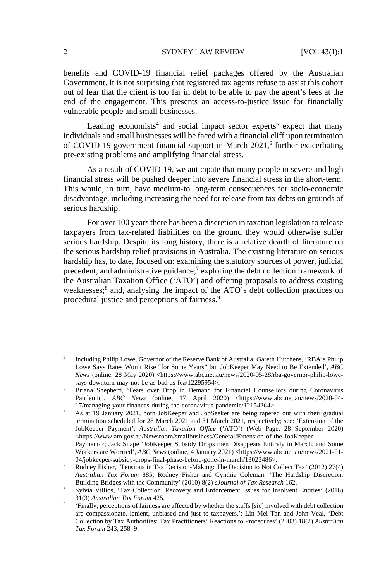benefits and COVID-19 financial relief packages offered by the Australian Government. It is not surprising that registered tax agents refuse to assist this cohort out of fear that the client is too far in debt to be able to pay the agent's fees at the end of the engagement. This presents an access-to-justice issue for financially vulnerable people and small businesses.

Leading economists<sup>4</sup> and social impact sector experts<sup>5</sup> expect that many individuals and small businesses will be faced with a financial cliff upon termination of COVID-19 government financial support in March 2021,<sup>6</sup> further exacerbating pre-existing problems and amplifying financial stress.

As a result of COVID-19, we anticipate that many people in severe and high financial stress will be pushed deeper into severe financial stress in the short-term. This would, in turn, have medium-to long-term consequences for socio-economic disadvantage, including increasing the need for release from tax debts on grounds of serious hardship.

For over 100 years there has been a discretion in taxation legislation to release taxpayers from tax-related liabilities on the ground they would otherwise suffer serious hardship. Despite its long history, there is a relative dearth of literature on the serious hardship relief provisions in Australia. The existing literature on serious hardship has, to date, focused on: examining the statutory sources of power, judicial precedent, and administrative guidance;<sup>7</sup> exploring the debt collection framework of the Australian Taxation Office ('ATO') and offering proposals to address existing weaknesses;<sup>8</sup> and, analysing the impact of the ATO's debt collection practices on procedural justice and perceptions of fairness.9

<sup>4</sup> Including Philip Lowe, Governor of the Reserve Bank of Australia: Gareth Hutchens, 'RBA's Philip Lowe Says Rates Won't Rise "for Some Years" but JobKeeper May Need to Be Extended', *ABC News* (online, 28 May 2020) <https://www.abc.net.au/news/2020-05-28/rba-governor-philip-lowesays-downturn-may-not-be-as-bad-as-fea/12295954>.

Briana Shepherd, 'Fears over Drop in Demand for Financial Counsellors during Coronavirus Pandemic', *ABC News* (online, 17 April 2020) <https://www.abc.net.au/news/2020-04-17/managing-your-finances-during-the-coronavirus-pandemic/12154264>. 6

As at 19 January 2021, both JobKeeper and JobSeeker are being tapered out with their gradual termination scheduled for 28 March 2021 and 31 March 2021, respectively; see: 'Extension of the JobKeeper Payment', *Australian Taxation Office* ('ATO') (Web Page, 28 September 2020) <https://www.ato.gov.au/Newsroom/smallbusiness/General/Extension-of-the-JobKeeper-Payment/>; Jack Snape 'JobKeeper Subsidy Drops then Disappears Entirely in March, and Some Workers are Worried', *ABC News* (online, 4 January 2021) <https://www.abc.net.au/news/2021-01- 04/jobkeeper-subsidy-drops-final-phase-before-gone-in-march/13023486>.

Rodney Fisher, 'Tensions in Tax Decision-Making: The Decision to Not Collect Tax' (2012) 27(4) *Australian Tax Forum* 885; Rodney Fisher and Cynthia Coleman, 'The Hardship Discretion: Building Bridges with the Community' (2010) 8(2) *eJournal of Tax Research* 162. 8

Sylvia Villios, 'Tax Collection, Recovery and Enforcement Issues for Insolvent Entities' (2016) 31(3) *Australian Tax Forum* 425. 9

 <sup>&#</sup>x27;Finally, perceptions of fairness are affected by whether the staffs [sic] involved with debt collection are compassionate, lenient, unbiased and just to taxpayers.': Lin Mei Tan and John Veal, 'Debt Collection by Tax Authorities: Tax Practitioners' Reactions to Procedures' (2003) 18(2) *Australian Tax Forum* 243, 258–9.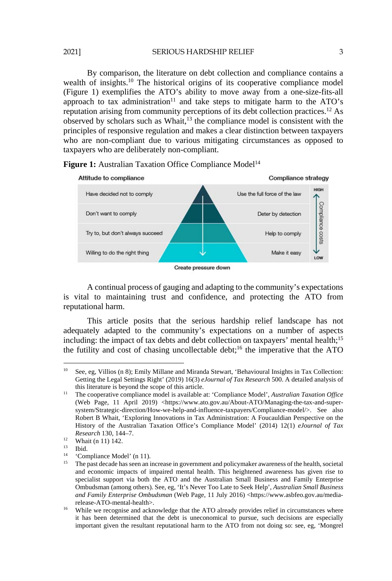2021] SERIOUS HARDSHIP RELIEF 3

By comparison, the literature on debt collection and compliance contains a wealth of insights.<sup>10</sup> The historical origins of its cooperative compliance model (Figure 1) exemplifies the ATO's ability to move away from a one-size-fits-all approach to tax administration<sup>11</sup> and take steps to mitigate harm to the ATO's reputation arising from community perceptions of its debt collection practices.12 As observed by scholars such as Whait,13 the compliance model is consistent with the principles of responsive regulation and makes a clear distinction between taxpayers who are non-compliant due to various mitigating circumstances as opposed to taxpayers who are deliberately non-compliant.



Figure 1: Australian Taxation Office Compliance Model<sup>14</sup>

A continual process of gauging and adapting to the community's expectations is vital to maintaining trust and confidence, and protecting the ATO from reputational harm.

This article posits that the serious hardship relief landscape has not adequately adapted to the community's expectations on a number of aspects including: the impact of tax debts and debt collection on taxpayers' mental health:<sup>15</sup> the futility and cost of chasing uncollectable debt;<sup>16</sup> the imperative that the ATO

Create pressure down

 $10<sup>°</sup>$ 10 See, eg, Villios (n 8); Emily Millane and Miranda Stewart, 'Behavioural Insights in Tax Collection: Getting the Legal Settings Right' (2019) 16(3) *eJournal of Tax Research* 500. A detailed analysis of

this literature is beyond the scope of this article. 11 The cooperative compliance model is available at: 'Compliance Model', *Australian Taxation Office* (Web Page, 11 April 2019) <https://www.ato.gov.au/About-ATO/Managing-the-tax-and-supersystem/Strategic-direction/How-we-help-and-influence-taxpayers/Compliance-model/>. See also Robert B Whait, 'Exploring Innovations in Tax Administration: A Foucauldian Perspective on the History of the Australian Taxation Office's Compliance Model' (2014) 12(1) *eJournal of Tax Research* 130, 144–7.<br><sup>12</sup> Whait (n 11) 142.

 $13$  Ibid.<br> $14$   $C_{\alpha}$ 

<sup>&</sup>lt;sup>14</sup> 'Compliance Model' (n 11).<br><sup>15</sup> The past does he seen an i

<sup>15</sup> The past decade has seen an increase in government and policymaker awareness of the health, societal and economic impacts of impaired mental health. This heightened awareness has given rise to specialist support via both the ATO and the Australian Small Business and Family Enterprise Ombudsman (among others). See, eg, 'It's Never Too Late to Seek Help', *Australian Small Business and Family Enterprise Ombudsman* (Web Page, 11 July 2016) <https://www.asbfeo.gov.au/media-

 $16$  While we recognise and acknowledge that the ATO already provides relief in circumstances where it has been determined that the debt is uneconomical to pursue, such decisions are especially important given the resultant reputational harm to the ATO from not doing so: see, eg, 'Mongrel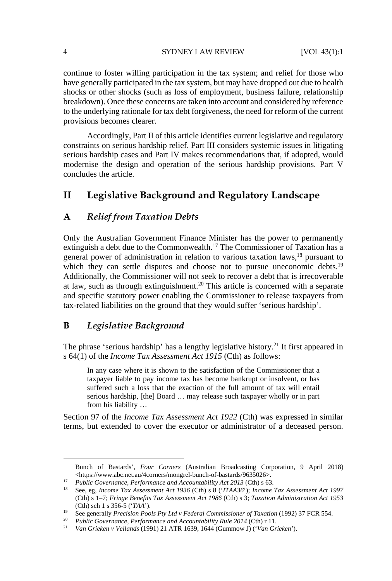#### 4 SYDNEY LAW REVIEW [VOL 43(1):1

continue to foster willing participation in the tax system; and relief for those who have generally participated in the tax system, but may have dropped out due to health shocks or other shocks (such as loss of employment, business failure, relationship breakdown). Once these concerns are taken into account and considered by reference to the underlying rationale for tax debt forgiveness, the need for reform of the current provisions becomes clearer.

Accordingly, Part II of this article identifies current legislative and regulatory constraints on serious hardship relief. Part III considers systemic issues in litigating serious hardship cases and Part IV makes recommendations that, if adopted, would modernise the design and operation of the serious hardship provisions. Part V concludes the article.

## **II Legislative Background and Regulatory Landscape**

## **A** *Relief from Taxation Debts*

Only the Australian Government Finance Minister has the power to permanently extinguish a debt due to the Commonwealth.17 The Commissioner of Taxation has a general power of administration in relation to various taxation laws,<sup>18</sup> pursuant to which they can settle disputes and choose not to pursue uneconomic debts.<sup>19</sup> Additionally, the Commissioner will not seek to recover a debt that is irrecoverable at law, such as through extinguishment.20 This article is concerned with a separate and specific statutory power enabling the Commissioner to release taxpayers from tax-related liabilities on the ground that they would suffer 'serious hardship'.

## **B** *Legislative Background*

The phrase 'serious hardship' has a lengthy legislative history.<sup>21</sup> It first appeared in s 64(1) of the *Income Tax Assessment Act 1915* (Cth) as follows:

In any case where it is shown to the satisfaction of the Commissioner that a taxpayer liable to pay income tax has become bankrupt or insolvent, or has suffered such a loss that the exaction of the full amount of tax will entail serious hardship, [the] Board … may release such taxpayer wholly or in part from his liability …

Section 97 of the *Income Tax Assessment Act 1922* (Cth) was expressed in similar terms, but extended to cover the executor or administrator of a deceased person.

Bunch of Bastards', *Four Corners* (Australian Broadcasting Corporation, 9 April 2018)

<sup>&</sup>lt;sup>17</sup> Public Governance, Performance and Accountability Act 2013 (Cth) s 63.<br><sup>18</sup> See, eg, *Income Tax Assessment Act 1936* (Cth) s 8 ('*ITAA36*'); *Income Tax Assessment Act 1997* (Cth) s 1–7; *Fringe Benefits Tax Assessment Act 1986* (Cth) s 3; *Taxation Administration Act 1953* (Cth) sch 1 s 356-5 ('TAA').<br>
<sup>19</sup> See generally *Precision Pools Pty Ltd v Federal Commissioner of Taxation* (1992) 37 FCR 554.<br>
<sup>20</sup> Public Governance, *Performance and Accountability Rule 2014* (Cth) r 11.<br>
<sup>21</sup> Van Gr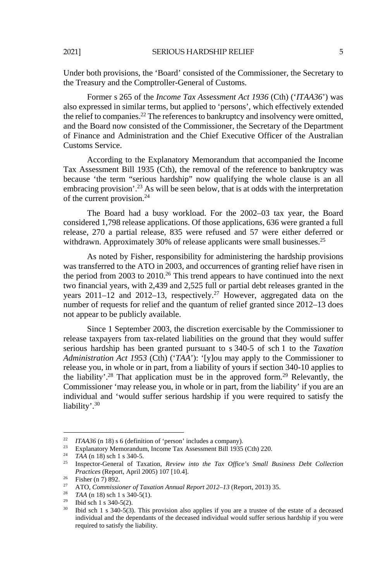Under both provisions, the 'Board' consisted of the Commissioner, the Secretary to the Treasury and the Comptroller-General of Customs.

Former s 265 of the *Income Tax Assessment Act 1936* (Cth) ('*ITAA36*') was also expressed in similar terms, but applied to 'persons', which effectively extended the relief to companies.<sup>22</sup> The references to bankruptcy and insolvency were omitted, and the Board now consisted of the Commissioner, the Secretary of the Department of Finance and Administration and the Chief Executive Officer of the Australian Customs Service.

According to the Explanatory Memorandum that accompanied the Income Tax Assessment Bill 1935 (Cth), the removal of the reference to bankruptcy was because 'the term "serious hardship" now qualifying the whole clause is an all embracing provision'.<sup>23</sup> As will be seen below, that is at odds with the interpretation of the current provision.24

The Board had a busy workload. For the 2002–03 tax year, the Board considered 1,798 release applications. Of those applications, 636 were granted a full release, 270 a partial release, 835 were refused and 57 were either deferred or withdrawn. Approximately 30% of release applicants were small businesses.<sup>25</sup>

As noted by Fisher, responsibility for administering the hardship provisions was transferred to the ATO in 2003, and occurrences of granting relief have risen in the period from 2003 to 2010.<sup>26</sup> This trend appears to have continued into the next two financial years, with 2,439 and 2,525 full or partial debt releases granted in the years  $2011-12$  and  $2012-13$ , respectively.<sup>27</sup> However, aggregated data on the number of requests for relief and the quantum of relief granted since 2012–13 does not appear to be publicly available.

Since 1 September 2003, the discretion exercisable by the Commissioner to release taxpayers from tax-related liabilities on the ground that they would suffer serious hardship has been granted pursuant to s 340-5 of sch 1 to the *Taxation Administration Act 1953* (Cth) ('*TAA*'): '[y]ou may apply to the Commissioner to release you, in whole or in part, from a liability of yours if section 340-10 applies to the liability'.<sup>28</sup> That application must be in the approved form.<sup>29</sup> Relevantly, the Commissioner 'may release you, in whole or in part, from the liability' if you are an individual and 'would suffer serious hardship if you were required to satisfy the liability'.<sup>30</sup>

<sup>&</sup>lt;sup>22</sup> *ITAA36* (n 18) s 6 (definition of 'person' includes a company).

<sup>&</sup>lt;sup>23</sup> Explanatory Memorandum, Income Tax Assessment Bill 1935 (Cth) 220.<br><sup>24</sup> TAA (n 18) sch 1 s 340-5.

<sup>&</sup>lt;sup>25</sup> Inspector-General of Taxation, *Review into the Tax Office's Small Business Debt Collection Practices* (Report, April 2005) 107 [10.4].<br><sup>26</sup> Fisher (n 7) 892.

<sup>27</sup> ATO, *Commissioner of Taxation Annual Report 2012–13* (Report, 2013) 35. 28 *TAA* (n 18) sch 1 s 340-5(1). 29 Ibid sch 1 s 340-5(2).

<sup>&</sup>lt;sup>30</sup> Ibid sch 1 s 340-5(3). This provision also applies if you are a trustee of the estate of a deceased individual and the dependants of the deceased individual would suffer serious hardship if you were required to satisfy the liability.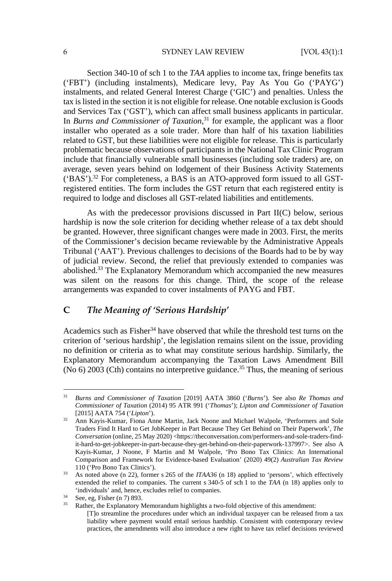#### 6 SYDNEY LAW REVIEW [VOL 43(1):1

Section 340-10 of sch 1 to the *TAA* applies to income tax, fringe benefits tax ('FBT') (including instalments), Medicare levy, Pay As You Go ('PAYG') instalments, and related General Interest Charge ('GIC') and penalties. Unless the tax is listed in the section it is not eligible for release. One notable exclusion is Goods and Services Tax ('GST'), which can affect small business applicants in particular. In *Burns and Commissioner of Taxation*, 31 for example, the applicant was a floor installer who operated as a sole trader. More than half of his taxation liabilities related to GST, but these liabilities were not eligible for release. This is particularly problematic because observations of participants in the National Tax Clinic Program include that financially vulnerable small businesses (including sole traders) are, on average, seven years behind on lodgement of their Business Activity Statements  $({}^{\circ}BAS')$ .<sup>32</sup> For completeness, a BAS is an ATO-approved form issued to all GSTregistered entities. The form includes the GST return that each registered entity is required to lodge and discloses all GST-related liabilities and entitlements.

As with the predecessor provisions discussed in Part II(C) below, serious hardship is now the sole criterion for deciding whether release of a tax debt should be granted. However, three significant changes were made in 2003. First, the merits of the Commissioner's decision became reviewable by the Administrative Appeals Tribunal ('AAT'). Previous challenges to decisions of the Boards had to be by way of judicial review. Second, the relief that previously extended to companies was abolished.33 The Explanatory Memorandum which accompanied the new measures was silent on the reasons for this change. Third, the scope of the release arrangements was expanded to cover instalments of PAYG and FBT.

## **C** *The Meaning of 'Serious Hardship'*

Academics such as Fisher $34$  have observed that while the threshold test turns on the criterion of 'serious hardship', the legislation remains silent on the issue, providing no definition or criteria as to what may constitute serious hardship. Similarly, the Explanatory Memorandum accompanying the Taxation Laws Amendment Bill (No  $6$ ) 2003 (Cth) contains no interpretive guidance.<sup>35</sup> Thus, the meaning of serious

<sup>31</sup> *Burns and Commissioner of Taxation* [2019] AATA 3860 ('*Burns*'). See also *Re Thomas and Commissioner of Taxation* (2014) 95 ATR 991 ('*Thomas*'); *Lipton and Commissioner of Taxation*

<sup>&</sup>lt;sup>32</sup> Ann Kayis-Kumar, Fiona Anne Martin, Jack Noone and Michael Walpole, 'Performers and Sole Traders Find It Hard to Get JobKeeper in Part Because They Get Behind on Their Paperwork', *The Conversation* (online, 25 May 2020) <https://theconversation.com/performers-and-sole-traders-findit-hard-to-get-jobkeeper-in-part-because-they-get-behind-on-their-paperwork-137997>. See also A Kayis-Kumar, J Noone, F Martin and M Walpole, 'Pro Bono Tax Clinics: An International Comparison and Framework for Evidence-based Evaluation' (2020) 49(2) *Australian Tax Review*

<sup>110 (&#</sup>x27;Pro Bono Tax Clinics'). 33 As noted above (n 22), former s 265 of the *ITAA36* (n 18) applied to 'persons', which effectively extended the relief to companies. The current s 340-5 of sch 1 to the *TAA* (n 18) applies only to 'individuals' and, hence, excludes relief to companies.<br>
See, eg, Fisher (n 7) 893.<br>
Bether the Explanatory Mamorandum bichlichts a type

Rather, the Explanatory Memorandum highlights a two-fold objective of this amendment: [T]o streamline the procedures under which an individual taxpayer can be released from a tax liability where payment would entail serious hardship. Consistent with contemporary review practices, the amendments will also introduce a new right to have tax relief decisions reviewed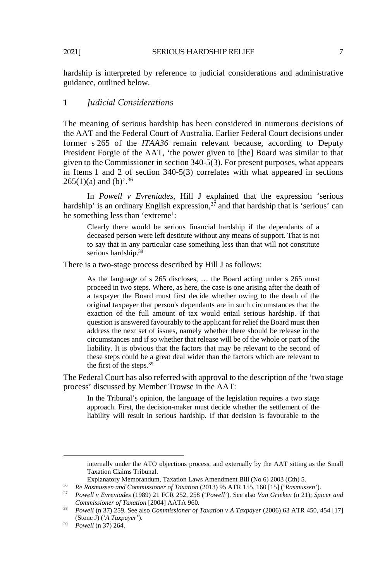hardship is interpreted by reference to judicial considerations and administrative guidance, outlined below.

#### 1 *Judicial Considerations*

The meaning of serious hardship has been considered in numerous decisions of the AAT and the Federal Court of Australia. Earlier Federal Court decisions under former s 265 of the *ITAA36* remain relevant because, according to Deputy President Forgie of the AAT, 'the power given to [the] Board was similar to that given to the Commissioner in section 340-5(3). For present purposes, what appears in Items 1 and 2 of section 340-5(3) correlates with what appeared in sections  $265(1)(a)$  and (b)'.<sup>36</sup>

In *Powell v Evreniades*, Hill J explained that the expression 'serious hardship' is an ordinary English expression,<sup>37</sup> and that hardship that is 'serious' can be something less than 'extreme':

Clearly there would be serious financial hardship if the dependants of a deceased person were left destitute without any means of support. That is not to say that in any particular case something less than that will not constitute serious hardship.<sup>38</sup>

There is a two-stage process described by Hill J as follows:

As the language of s 265 discloses, … the Board acting under s 265 must proceed in two steps. Where, as here, the case is one arising after the death of a taxpayer the Board must first decide whether owing to the death of the original taxpayer that person's dependants are in such circumstances that the exaction of the full amount of tax would entail serious hardship. If that question is answered favourably to the applicant for relief the Board must then address the next set of issues, namely whether there should be release in the circumstances and if so whether that release will be of the whole or part of the liability. It is obvious that the factors that may be relevant to the second of these steps could be a great deal wider than the factors which are relevant to the first of the steps.39

The Federal Court has also referred with approval to the description of the 'two stage process' discussed by Member Trowse in the AAT:

In the Tribunal's opinion, the language of the legislation requires a two stage approach. First, the decision-maker must decide whether the settlement of the liability will result in serious hardship. If that decision is favourable to the

internally under the ATO objections process, and externally by the AAT sitting as the Small Taxation Claims Tribunal.

Explanatory Memorandum, Taxation Laws Amendment Bill (No 6) 2003 (Cth) 5.<br> *Re Rasmussen and Commissioner of Taxation* (2013) 95 ATR 155, 160 [15] ('*Rasmussen*').<br> *Powell v Evreniades* (1989) 21 FCR 252, 258 ('*Powell*'

<sup>&</sup>lt;sup>38</sup> *Powell* (n 37) 259. See also *Commissioner of Taxation v A Taxpayer* (2006) 63 ATR 450, 454 [17] (Stone J) ('*A Taxpayer*'). 39 *Powell* (n 37) 264.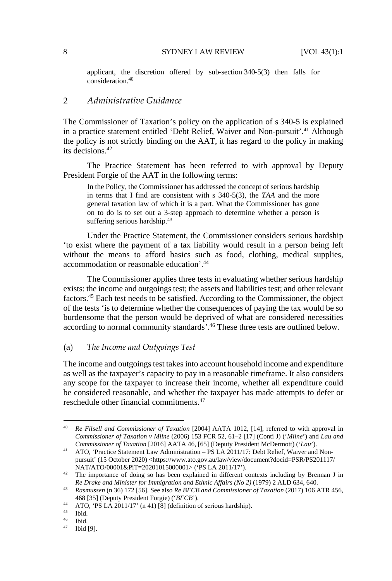applicant, the discretion offered by sub-section 340-5(3) then falls for consideration.40

## 2 *Administrative Guidance*

The Commissioner of Taxation's policy on the application of s 340-5 is explained in a practice statement entitled 'Debt Relief, Waiver and Non-pursuit'.<sup>41</sup> Although the policy is not strictly binding on the AAT, it has regard to the policy in making its decisions.42

The Practice Statement has been referred to with approval by Deputy President Forgie of the AAT in the following terms:

In the Policy, the Commissioner has addressed the concept of serious hardship in terms that I find are consistent with s 340-5(3), the *TAA* and the more general taxation law of which it is a part. What the Commissioner has gone on to do is to set out a 3-step approach to determine whether a person is suffering serious hardship.<sup>43</sup>

Under the Practice Statement, the Commissioner considers serious hardship 'to exist where the payment of a tax liability would result in a person being left without the means to afford basics such as food, clothing, medical supplies, accommodation or reasonable education'.44

The Commissioner applies three tests in evaluating whether serious hardship exists: the income and outgoings test; the assets and liabilities test; and other relevant factors.45 Each test needs to be satisfied. According to the Commissioner, the object of the tests 'is to determine whether the consequences of paying the tax would be so burdensome that the person would be deprived of what are considered necessities according to normal community standards'.46 These three tests are outlined below.

## (a) *The Income and Outgoings Test*

The income and outgoings test takes into account household income and expenditure as well as the taxpayer's capacity to pay in a reasonable timeframe. It also considers any scope for the taxpayer to increase their income, whether all expenditure could be considered reasonable, and whether the taxpayer has made attempts to defer or reschedule other financial commitments.47

<sup>40</sup> *Re Filsell and Commissioner of Taxation* [2004] AATA 1012, [14], referred to with approval in *Commissioner of Taxation v Milne* (2006) 153 FCR 52, 61–2 [17] (Conti J) ('*Milne'*) and *Lau and Commissioner of Taxation* [2016] AATA 46, [65] (Deputy President McDermott) ('*Lau'*).

<sup>&</sup>lt;sup>41</sup> ATO, 'Practice Statement Law Administration – PS LA 2011/17: Debt Relief, Waiver and Nonpursuit' (15 October 2020) <https://www.ato.gov.au/law/view/document?docid=PSR/PS201117/

NAT/ATO/00001&PiT=20201015000001> ('PS LA 2011/17').<br><sup>42</sup> The importance of doing so has been explained in different contexts including by Brennan J in *Re Drake and Minister for Immigration and Ethnic Affairs (No 2)* (1979) 2 ALD 634, 640. 43 *Rasmussen* (n 36) 172 [56]. See also *Re BFCB and Commissioner of Taxation* (2017) 106 ATR 456,

<sup>468 [35] (</sup>Deputy President Forgie) (*'BFCB'*).<br>
44 ATO, 'PS LA 2011/17' (n 41) [8] (definition of serious hardship).<br>
<sup>45</sup> Ibid.<br>
<sup>46</sup> <sup>π</sup>hid.

Ibid.

<sup>47</sup> Ibid [9].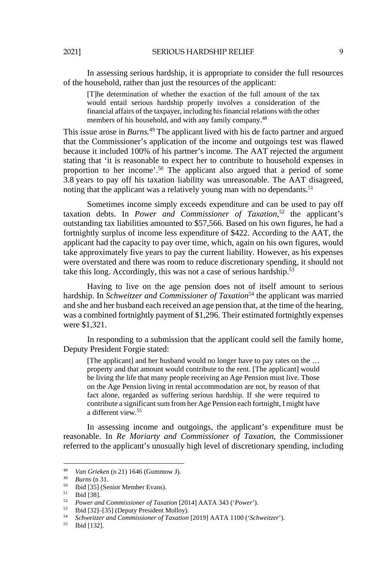In assessing serious hardship, it is appropriate to consider the full resources of the household, rather than just the resources of the applicant:

[T]he determination of whether the exaction of the full amount of the tax would entail serious hardship properly involves a consideration of the financial affairs of the taxpayer, including his financial relations with the other members of his household, and with any family company.<sup>48</sup>

This issue arose in *Burns.*49 The applicant lived with his de facto partner and argued that the Commissioner's application of the income and outgoings test was flawed because it included 100% of his partner's income. The AAT rejected the argument stating that 'it is reasonable to expect her to contribute to household expenses in proportion to her income'.<sup>50</sup> The applicant also argued that a period of some 3.8 years to pay off his taxation liability was unreasonable. The AAT disagreed, noting that the applicant was a relatively young man with no dependants.<sup>51</sup>

Sometimes income simply exceeds expenditure and can be used to pay off taxation debts. In *Power and Commissioner of Taxation*, 52 the applicant's outstanding tax liabilities amounted to \$57,566. Based on his own figures, he had a fortnightly surplus of income less expenditure of \$422. According to the AAT, the applicant had the capacity to pay over time, which, again on his own figures, would take approximately five years to pay the current liability. However, as his expenses were overstated and there was room to reduce discretionary spending, it should not take this long. Accordingly, this was not a case of serious hardship.<sup>53</sup>

Having to live on the age pension does not of itself amount to serious hardship. In *Schweitzer and Commissioner of Taxation*<sup>54</sup> the applicant was married and she and her husband each received an age pension that, at the time of the hearing, was a combined fortnightly payment of \$1,296. Their estimated fortnightly expenses were \$1,321.

In responding to a submission that the applicant could sell the family home, Deputy President Forgie stated:

[The applicant] and her husband would no longer have to pay rates on the ... property and that amount would contribute to the rent. [The applicant] would be living the life that many people receiving an Age Pension must live. Those on the Age Pension living in rental accommodation are not, by reason of that fact alone, regarded as suffering serious hardship. If she were required to contribute a significant sum from her Age Pension each fortnight, I might have a different view.55

In assessing income and outgoings, the applicant's expenditure must be reasonable. In *Re Moriarty and Commissioner of Taxation*, the Commissioner referred to the applicant's unusually high level of discretionary spending, including

 $\overline{AB}$ <sup>48</sup> *Van Grieken* (n 21) 1646 (Gummow J). 49 *Burns* (n 31. 50 Ibid [35] (Senior Member Evans).

<sup>51</sup> Ibid [38].

<sup>52</sup> *Power and Commissioner of Taxation* [2014] AATA 343 ('*Power*'). 53 Ibid [32]–[35] (Deputy President Molloy).

<sup>54</sup> *Schweitzer and Commissioner of Taxation* [2019] AATA 1100 ('*Schweitzer*'). 55 Ibid [132].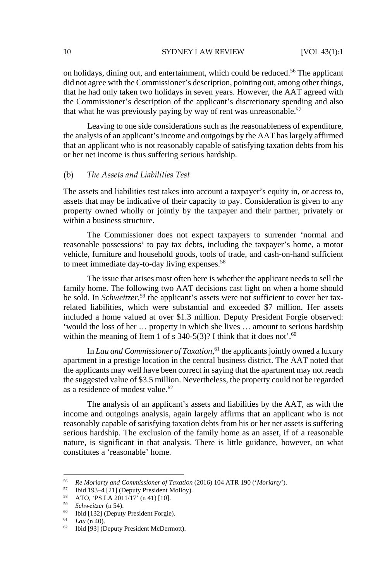#### 10 SYDNEY LAW REVIEW [VOL 43(1):1

on holidays, dining out, and entertainment, which could be reduced.56 The applicant did not agree with the Commissioner's description, pointing out, among other things, that he had only taken two holidays in seven years. However, the AAT agreed with the Commissioner's description of the applicant's discretionary spending and also that what he was previously paying by way of rent was unreasonable.<sup>57</sup>

Leaving to one side considerations such as the reasonableness of expenditure, the analysis of an applicant's income and outgoings by the AAT has largely affirmed that an applicant who is not reasonably capable of satisfying taxation debts from his or her net income is thus suffering serious hardship.

#### (b) *The Assets and Liabilities Test*

The assets and liabilities test takes into account a taxpayer's equity in, or access to, assets that may be indicative of their capacity to pay. Consideration is given to any property owned wholly or jointly by the taxpayer and their partner, privately or within a business structure.

The Commissioner does not expect taxpayers to surrender 'normal and reasonable possessions' to pay tax debts, including the taxpayer's home, a motor vehicle, furniture and household goods, tools of trade, and cash-on-hand sufficient to meet immediate day-to-day living expenses.58

The issue that arises most often here is whether the applicant needs to sell the family home. The following two AAT decisions cast light on when a home should be sold. In *Schweitzer*,<sup>59</sup> the applicant's assets were not sufficient to cover her taxrelated liabilities, which were substantial and exceeded \$7 million. Her assets included a home valued at over \$1.3 million. Deputy President Forgie observed: 'would the loss of her … property in which she lives … amount to serious hardship within the meaning of Item 1 of s  $340-5(3)$ ? I think that it does not'.<sup>60</sup>

In *Lau and Commissioner of Taxation*,<sup>61</sup> the applicants jointly owned a luxury apartment in a prestige location in the central business district. The AAT noted that the applicants may well have been correct in saying that the apartment may not reach the suggested value of \$3.5 million. Nevertheless, the property could not be regarded as a residence of modest value.<sup>62</sup>

The analysis of an applicant's assets and liabilities by the AAT, as with the income and outgoings analysis, again largely affirms that an applicant who is not reasonably capable of satisfying taxation debts from his or her net assets is suffering serious hardship. The exclusion of the family home as an asset, if of a reasonable nature, is significant in that analysis. There is little guidance, however, on what constitutes a 'reasonable' home.

<sup>56</sup> *Re Moriarty and Commissioner of Taxation* (2016) 104 ATR 190 ('*Moriarty*'). 57 Ibid 193–4 [21] (Deputy President Molloy).

<sup>&</sup>lt;sup>58</sup> ATO, 'PS LA 2011/17' (n 41) [10].<br> *59* Schweitzer (n 54).

<sup>&</sup>lt;sup>60</sup> Ibid [132] (Deputy President Forgie).<br><sup>61</sup> *Lau* (n 40).

<sup>&</sup>lt;sup>62</sup> Ibid [93] (Deputy President McDermott).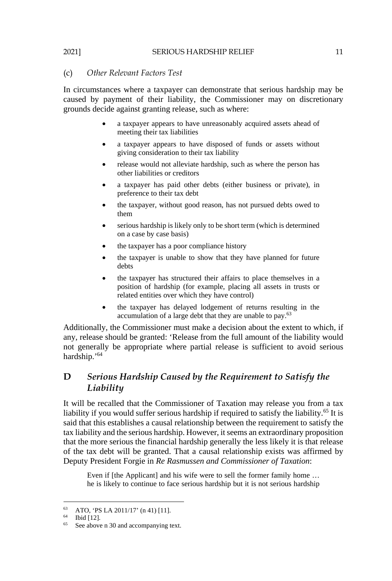#### (c) *Other Relevant Factors Test*

In circumstances where a taxpayer can demonstrate that serious hardship may be caused by payment of their liability, the Commissioner may on discretionary grounds decide against granting release, such as where:

- a taxpayer appears to have unreasonably acquired assets ahead of meeting their tax liabilities
- a taxpayer appears to have disposed of funds or assets without giving consideration to their tax liability
- release would not alleviate hardship, such as where the person has other liabilities or creditors
- a taxpayer has paid other debts (either business or private), in preference to their tax debt
- the taxpayer, without good reason, has not pursued debts owed to them
- serious hardship is likely only to be short term (which is determined on a case by case basis)
- the taxpayer has a poor compliance history
- the taxpayer is unable to show that they have planned for future debts
- the taxpayer has structured their affairs to place themselves in a position of hardship (for example, placing all assets in trusts or related entities over which they have control)
- the taxpayer has delayed lodgement of returns resulting in the accumulation of a large debt that they are unable to pay.<sup>63</sup>

Additionally, the Commissioner must make a decision about the extent to which, if any, release should be granted: 'Release from the full amount of the liability would not generally be appropriate where partial release is sufficient to avoid serious hardship.'64

## **D** *Serious Hardship Caused by the Requirement to Satisfy the Liability*

It will be recalled that the Commissioner of Taxation may release you from a tax liability if you would suffer serious hardship if required to satisfy the liability.<sup>65</sup> It is said that this establishes a causal relationship between the requirement to satisfy the tax liability and the serious hardship. However, it seems an extraordinary proposition that the more serious the financial hardship generally the less likely it is that release of the tax debt will be granted. That a causal relationship exists was affirmed by Deputy President Forgie in *Re Rasmussen and Commissioner of Taxation*:

Even if [the Applicant] and his wife were to sell the former family home ... he is likely to continue to face serious hardship but it is not serious hardship

<sup>63</sup> ATO, 'PS LA 2011/17' (n 41) [11].

<sup>64</sup> Ibid [12].

<sup>&</sup>lt;sup>65</sup> See above n 30 and accompanying text.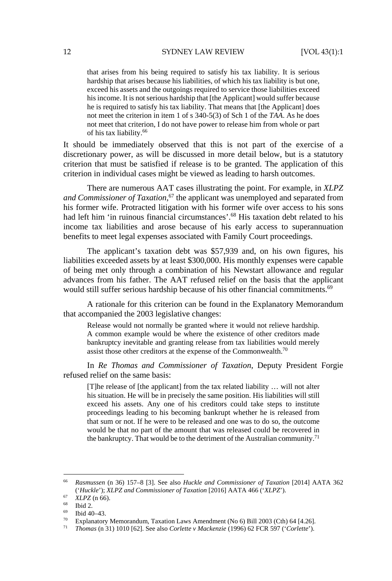that arises from his being required to satisfy his tax liability. It is serious hardship that arises because his liabilities, of which his tax liability is but one, exceed his assets and the outgoings required to service those liabilities exceed his income. It is not serious hardship that [the Applicant] would suffer because he is required to satisfy his tax liability. That means that [the Applicant] does not meet the criterion in item 1 of s 340-5(3) of Sch 1 of the *TAA*. As he does not meet that criterion, I do not have power to release him from whole or part of his tax liability.66

It should be immediately observed that this is not part of the exercise of a discretionary power, as will be discussed in more detail below, but is a statutory criterion that must be satisfied if release is to be granted. The application of this criterion in individual cases might be viewed as leading to harsh outcomes.

There are numerous AAT cases illustrating the point. For example, in *XLPZ and Commissioner of Taxation*, 67 the applicant was unemployed and separated from his former wife. Protracted litigation with his former wife over access to his sons had left him 'in ruinous financial circumstances'.<sup>68</sup> His taxation debt related to his income tax liabilities and arose because of his early access to superannuation benefits to meet legal expenses associated with Family Court proceedings.

The applicant's taxation debt was \$57,939 and, on his own figures, his liabilities exceeded assets by at least \$300,000. His monthly expenses were capable of being met only through a combination of his Newstart allowance and regular advances from his father. The AAT refused relief on the basis that the applicant would still suffer serious hardship because of his other financial commitments.<sup>69</sup>

A rationale for this criterion can be found in the Explanatory Memorandum that accompanied the 2003 legislative changes:

Release would not normally be granted where it would not relieve hardship. A common example would be where the existence of other creditors made bankruptcy inevitable and granting release from tax liabilities would merely assist those other creditors at the expense of the Commonwealth.70

In *Re Thomas and Commissioner of Taxation*, Deputy President Forgie refused relief on the same basis:

[T]he release of [the applicant] from the tax related liability … will not alter his situation. He will be in precisely the same position. His liabilities will still exceed his assets. Any one of his creditors could take steps to institute proceedings leading to his becoming bankrupt whether he is released from that sum or not. If he were to be released and one was to do so, the outcome would be that no part of the amount that was released could be recovered in the bankruptcy. That would be to the detriment of the Australian community.<sup>71</sup>

<sup>66</sup> *Rasmussen* (n 36) 157–8 [3]. See also *Huckle and Commissioner of Taxation* [2014] AATA 362 (*'Huckle'*); *XLPZ and Commissioner of Taxation* [2016] AATA 466 (*'XLPZ'*).<br>
<sup>67</sup> *XLPZ* (n 66).<br> **68** Ibid 2.

 $^{69}$  Ibid 40–43.<br><sup>70</sup> Explanatory

<sup>&</sup>lt;sup>70</sup> Explanatory Memorandum, Taxation Laws Amendment (No 6) Bill 2003 (Cth) 64 [4.26].

<sup>71</sup> *Thomas* (n 31) 1010 [62]. See also *Corlette v Mackenzie* (1996) 62 FCR 597 ('*Corlette*').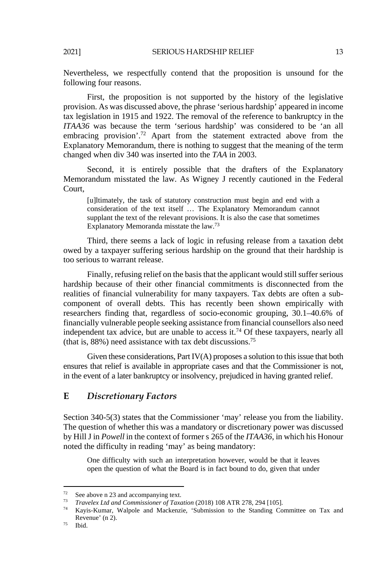Nevertheless, we respectfully contend that the proposition is unsound for the following four reasons.

First, the proposition is not supported by the history of the legislative provision. As was discussed above, the phrase 'serious hardship' appeared in income tax legislation in 1915 and 1922. The removal of the reference to bankruptcy in the *ITAA36* was because the term 'serious hardship' was considered to be 'an all embracing provision'.<sup>72</sup> Apart from the statement extracted above from the Explanatory Memorandum, there is nothing to suggest that the meaning of the term changed when div 340 was inserted into the *TAA* in 2003.

Second, it is entirely possible that the drafters of the Explanatory Memorandum misstated the law. As Wigney J recently cautioned in the Federal Court,

[u]ltimately, the task of statutory construction must begin and end with a consideration of the text itself … The Explanatory Memorandum cannot supplant the text of the relevant provisions. It is also the case that sometimes Explanatory Memoranda misstate the law.73

Third, there seems a lack of logic in refusing release from a taxation debt owed by a taxpayer suffering serious hardship on the ground that their hardship is too serious to warrant release.

Finally, refusing relief on the basis that the applicant would still suffer serious hardship because of their other financial commitments is disconnected from the realities of financial vulnerability for many taxpayers. Tax debts are often a subcomponent of overall debts. This has recently been shown empirically with researchers finding that, regardless of socio-economic grouping, 30.1–40.6% of financially vulnerable people seeking assistance from financial counsellors also need independent tax advice, but are unable to access it.<sup>74</sup> Of these taxpayers, nearly all (that is, 88%) need assistance with tax debt discussions.75

Given these considerations, Part IV(A) proposes a solution to this issue that both ensures that relief is available in appropriate cases and that the Commissioner is not, in the event of a later bankruptcy or insolvency, prejudiced in having granted relief.

## **E** *Discretionary Factors*

Section 340-5(3) states that the Commissioner 'may' release you from the liability. The question of whether this was a mandatory or discretionary power was discussed by Hill J in *Powell* in the context of former s 265 of the *ITAA36*, in which his Honour noted the difficulty in reading 'may' as being mandatory:

One difficulty with such an interpretation however, would be that it leaves open the question of what the Board is in fact bound to do, given that under

<sup>72</sup> 

<sup>&</sup>lt;sup>72</sup> See above n 23 and accompanying text.<br><sup>73</sup> *Travelex Ltd and Commissioner of Taxation* (2018) 108 ATR 278, 294 [105].

<sup>&</sup>lt;sup>74</sup> Kayis-Kumar, Walpole and Mackenzie, 'Submission to the Standing Committee on Tax and Revenue' (n 2).<br>  $^{75}$  Ibid.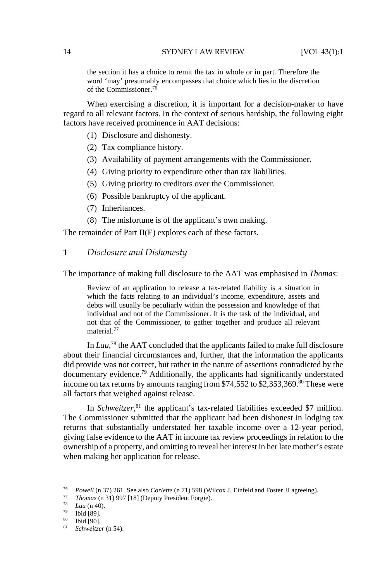the section it has a choice to remit the tax in whole or in part. Therefore the word 'may' presumably encompasses that choice which lies in the discretion of the Commissioner.76

When exercising a discretion, it is important for a decision-maker to have regard to all relevant factors. In the context of serious hardship, the following eight factors have received prominence in AAT decisions:

- (1) Disclosure and dishonesty.
- (2) Tax compliance history.
- (3) Availability of payment arrangements with the Commissioner.
- (4) Giving priority to expenditure other than tax liabilities.
- (5) Giving priority to creditors over the Commissioner.
- (6) Possible bankruptcy of the applicant.
- (7) Inheritances.
- (8) The misfortune is of the applicant's own making.

The remainder of Part II(E) explores each of these factors.

#### 1 *Disclosure and Dishonesty*

The importance of making full disclosure to the AAT was emphasised in *Thomas*:

Review of an application to release a tax-related liability is a situation in which the facts relating to an individual's income, expenditure, assets and debts will usually be peculiarly within the possession and knowledge of that individual and not of the Commissioner. It is the task of the individual, and not that of the Commissioner, to gather together and produce all relevant material.77

In *Lau*,<sup>78</sup> the AAT concluded that the applicants failed to make full disclosure about their financial circumstances and, further, that the information the applicants did provide was not correct, but rather in the nature of assertions contradicted by the documentary evidence.79 Additionally, the applicants had significantly understated income on tax returns by amounts ranging from  $$74,552$  to  $$2,353,369$ .<sup>80</sup> These were all factors that weighed against release.

In *Schweitzer*,<sup>81</sup> the applicant's tax-related liabilities exceeded \$7 million. The Commissioner submitted that the applicant had been dishonest in lodging tax returns that substantially understated her taxable income over a 12-year period, giving false evidence to the AAT in income tax review proceedings in relation to the ownership of a property, and omitting to reveal her interest in her late mother's estate when making her application for release.

<sup>76</sup> *Powell* (n 37) 261. See also *Corlette* (n 71) 598 (Wilcox J, Einfeld and Foster JJ agreeing). 77 *Thomas* (n 31) 997 [18] (Deputy President Forgie). 78 *Lau* (n 40). 79 Ibid [89].

<sup>80</sup> Ibid [90].

<sup>81</sup> *Schweitzer* (n 54).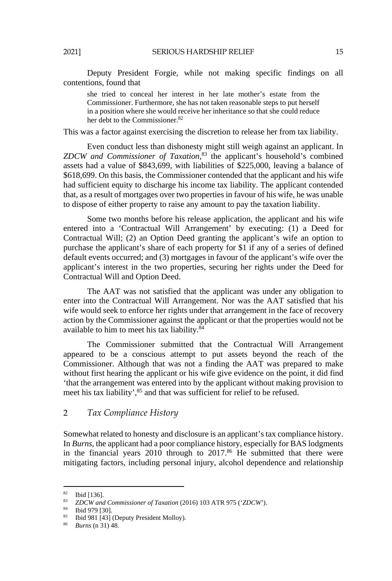Deputy President Forgie, while not making specific findings on all contentions, found that

she tried to conceal her interest in her late mother's estate from the Commissioner. Furthermore, she has not taken reasonable steps to put herself in a position where she would receive her inheritance so that she could reduce her debt to the Commissioner.<sup>82</sup>

This was a factor against exercising the discretion to release her from tax liability.

Even conduct less than dishonesty might still weigh against an applicant. In *ZDCW and Commissioner of Taxation*, 83 the applicant's household's combined assets had a value of \$843,699, with liabilities of \$225,000, leaving a balance of \$618,699. On this basis, the Commissioner contended that the applicant and his wife had sufficient equity to discharge his income tax liability. The applicant contended that, as a result of mortgages over two properties in favour of his wife, he was unable to dispose of either property to raise any amount to pay the taxation liability.

Some two months before his release application, the applicant and his wife entered into a 'Contractual Will Arrangement' by executing: (1) a Deed for Contractual Will; (2) an Option Deed granting the applicant's wife an option to purchase the applicant's share of each property for \$1 if any of a series of defined default events occurred; and (3) mortgages in favour of the applicant's wife over the applicant's interest in the two properties, securing her rights under the Deed for Contractual Will and Option Deed.

The AAT was not satisfied that the applicant was under any obligation to enter into the Contractual Will Arrangement. Nor was the AAT satisfied that his wife would seek to enforce her rights under that arrangement in the face of recovery action by the Commissioner against the applicant or that the properties would not be available to him to meet his tax liability.84

The Commissioner submitted that the Contractual Will Arrangement appeared to be a conscious attempt to put assets beyond the reach of the Commissioner. Although that was not a finding the AAT was prepared to make without first hearing the applicant or his wife give evidence on the point, it did find 'that the arrangement was entered into by the applicant without making provision to meet his tax liability',<sup>85</sup> and that was sufficient for relief to be refused.

## 2 *Tax Compliance History*

Somewhat related to honesty and disclosure is an applicant's tax compliance history. In *Burns*, the applicant had a poor compliance history, especially for BAS lodgments in the financial years 2010 through to 2017.<sup>86</sup> He submitted that there were mitigating factors, including personal injury, alcohol dependence and relationship

<sup>82</sup> Ibid [136].

<sup>83</sup> *ZDCW and Commissioner of Taxation* (2016) 103 ATR 975 ('*ZDCW*'). 84 Ibid 979 [30].

<sup>85</sup> Ibid 981 [43] (Deputy President Molloy).

<sup>86</sup> *Burns* (n 31) 48.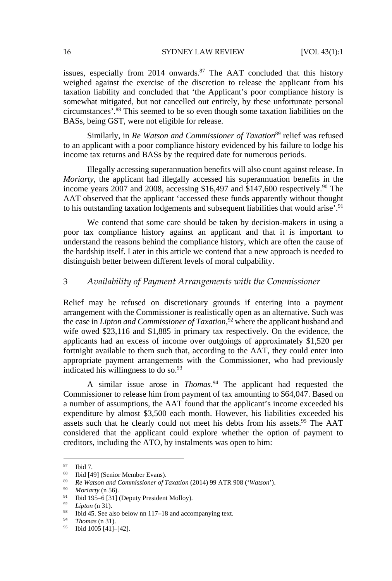issues, especially from  $2014$  onwards.<sup>87</sup> The AAT concluded that this history weighed against the exercise of the discretion to release the applicant from his taxation liability and concluded that 'the Applicant's poor compliance history is somewhat mitigated, but not cancelled out entirely, by these unfortunate personal circumstances'.88 This seemed to be so even though some taxation liabilities on the BASs, being GST, were not eligible for release.

Similarly, in *Re Watson and Commissioner of Taxation*<sup>89</sup> relief was refused to an applicant with a poor compliance history evidenced by his failure to lodge his income tax returns and BASs by the required date for numerous periods.

Illegally accessing superannuation benefits will also count against release. In *Moriarty*, the applicant had illegally accessed his superannuation benefits in the income years 2007 and 2008, accessing \$16,497 and  $$147,600$  respectively.<sup>90</sup> The AAT observed that the applicant 'accessed these funds apparently without thought to his outstanding taxation lodgements and subsequent liabilities that would arise'.<sup>91</sup>

We contend that some care should be taken by decision-makers in using a poor tax compliance history against an applicant and that it is important to understand the reasons behind the compliance history, which are often the cause of the hardship itself. Later in this article we contend that a new approach is needed to distinguish better between different levels of moral culpability.

## 3 *Availability of Payment Arrangements with the Commissioner*

Relief may be refused on discretionary grounds if entering into a payment arrangement with the Commissioner is realistically open as an alternative. Such was the case in *Lipton and Commissioner of Taxation*, 92 where the applicant husband and wife owed \$23,116 and \$1,885 in primary tax respectively. On the evidence, the applicants had an excess of income over outgoings of approximately \$1,520 per fortnight available to them such that, according to the AAT, they could enter into appropriate payment arrangements with the Commissioner, who had previously indicated his willingness to do so. $93$ 

A similar issue arose in *Thomas*. 94 The applicant had requested the Commissioner to release him from payment of tax amounting to \$64,047. Based on a number of assumptions, the AAT found that the applicant's income exceeded his expenditure by almost \$3,500 each month. However, his liabilities exceeded his assets such that he clearly could not meet his debts from his assets.<sup>95</sup> The AAT considered that the applicant could explore whether the option of payment to creditors, including the ATO, by instalments was open to him:

<sup>87</sup> Ibid 7.

<sup>88</sup> Ibid [49] (Senior Member Evans).

<sup>89</sup> *Re Watson and Commissioner of Taxation* (2014) 99 ATR 908 ('*Watson*').<br>
90 *Moriarty* (n 56).<br>
91 Ibid 195–6 [31] (Deputy President Molloy).<br>
92 *Lipton* (n 31).

<sup>&</sup>lt;sup>93</sup> Ibid 45. See also below nn 117–18 and accompanying text.<br><sup>94</sup> *Thomas* (n 31).

<sup>&</sup>lt;sup>95</sup> Ibid 1005 [41]-[42].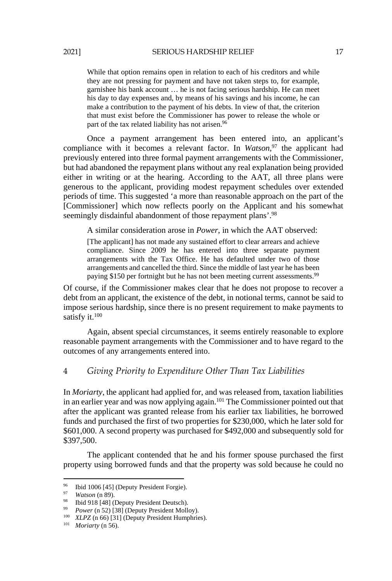While that option remains open in relation to each of his creditors and while they are not pressing for payment and have not taken steps to, for example, garnishee his bank account … he is not facing serious hardship. He can meet his day to day expenses and, by means of his savings and his income, he can make a contribution to the payment of his debts. In view of that, the criterion that must exist before the Commissioner has power to release the whole or part of the tax related liability has not arisen.<sup>96</sup>

Once a payment arrangement has been entered into, an applicant's compliance with it becomes a relevant factor. In *Watson*, 97 the applicant had previously entered into three formal payment arrangements with the Commissioner, but had abandoned the repayment plans without any real explanation being provided either in writing or at the hearing. According to the AAT, all three plans were generous to the applicant, providing modest repayment schedules over extended periods of time. This suggested 'a more than reasonable approach on the part of the [Commissioner] which now reflects poorly on the Applicant and his somewhat seemingly disdainful abandonment of those repayment plans'.<sup>98</sup>

A similar consideration arose in *Power*, in which the AAT observed:

[The applicant] has not made any sustained effort to clear arrears and achieve compliance. Since 2009 he has entered into three separate payment arrangements with the Tax Office. He has defaulted under two of those arrangements and cancelled the third. Since the middle of last year he has been paying \$150 per fortnight but he has not been meeting current assessments.<sup>99</sup>

Of course, if the Commissioner makes clear that he does not propose to recover a debt from an applicant, the existence of the debt, in notional terms, cannot be said to impose serious hardship, since there is no present requirement to make payments to satisfy it.<sup>100</sup>

Again, absent special circumstances, it seems entirely reasonable to explore reasonable payment arrangements with the Commissioner and to have regard to the outcomes of any arrangements entered into.

## 4 *Giving Priority to Expenditure Other Than Tax Liabilities*

In *Moriarty*, the applicant had applied for, and was released from, taxation liabilities in an earlier year and was now applying again.101 The Commissioner pointed out that after the applicant was granted release from his earlier tax liabilities, he borrowed funds and purchased the first of two properties for \$230,000, which he later sold for \$601,000. A second property was purchased for \$492,000 and subsequently sold for \$397,500.

The applicant contended that he and his former spouse purchased the first property using borrowed funds and that the property was sold because he could no

<sup>96</sup> <sup>96</sup> Ibid 1006 [45] (Deputy President Forgie).<br><sup>97</sup> Watson (n 89).

<sup>&</sup>lt;sup>98</sup> Ibid 918 [48] (Deputy President Deutsch).<br><sup>99</sup> *Power* (n 52) [38] (Deputy President Molloy).

<sup>&</sup>lt;sup>100</sup> *XLPZ* (n 66) [31] (Deputy President Humphries).<br><sup>101</sup> *Moriarty* (n 56).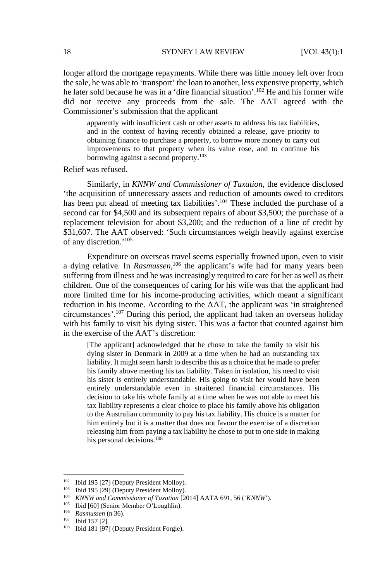longer afford the mortgage repayments. While there was little money left over from the sale, he was able to 'transport' the loan to another, less expensive property, which he later sold because he was in a 'dire financial situation'.<sup>102</sup> He and his former wife did not receive any proceeds from the sale. The AAT agreed with the Commissioner's submission that the applicant

apparently with insufficient cash or other assets to address his tax liabilities, and in the context of having recently obtained a release, gave priority to obtaining finance to purchase a property, to borrow more money to carry out improvements to that property when its value rose, and to continue his borrowing against a second property.<sup>103</sup>

Relief was refused.

Similarly, in *KNNW and Commissioner of Taxation*, the evidence disclosed 'the acquisition of unnecessary assets and reduction of amounts owed to creditors has been put ahead of meeting tax liabilities'.<sup>104</sup> These included the purchase of a second car for \$4,500 and its subsequent repairs of about \$3,500; the purchase of a replacement television for about \$3,200; and the reduction of a line of credit by \$31,607. The AAT observed: 'Such circumstances weigh heavily against exercise of any discretion.'105

Expenditure on overseas travel seems especially frowned upon, even to visit a dying relative. In *Rasmussen*, 106 the applicant's wife had for many years been suffering from illness and he was increasingly required to care for her as well as their children. One of the consequences of caring for his wife was that the applicant had more limited time for his income-producing activities, which meant a significant reduction in his income. According to the AAT, the applicant was 'in straightened circumstances'.107 During this period, the applicant had taken an overseas holiday with his family to visit his dying sister. This was a factor that counted against him in the exercise of the AAT's discretion:

[The applicant] acknowledged that he chose to take the family to visit his dying sister in Denmark in 2009 at a time when he had an outstanding tax liability. It might seem harsh to describe this as a choice that he made to prefer his family above meeting his tax liability. Taken in isolation, his need to visit his sister is entirely understandable. His going to visit her would have been entirely understandable even in straitened financial circumstances. His decision to take his whole family at a time when he was not able to meet his tax liability represents a clear choice to place his family above his obligation to the Australian community to pay his tax liability. His choice is a matter for him entirely but it is a matter that does not favour the exercise of a discretion releasing him from paying a tax liability he chose to put to one side in making his personal decisions.<sup>108</sup>

<sup>&</sup>lt;sup>102</sup> Ibid 195 [27] (Deputy President Molloy).<br>
<sup>103</sup> Ibid 195 [29] (Deputy President Molloy).<br>
<sup>104</sup> KNNW and Commissioner of Taxation [2014] AATA 691, 56 ('KNNW').<br>
<sup>105</sup> Ibid [60] (Senior Member O'Loughlin).<br>
<sup>106</sup> Ras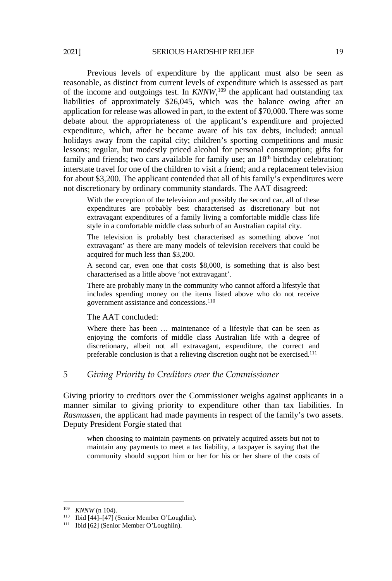Previous levels of expenditure by the applicant must also be seen as reasonable, as distinct from current levels of expenditure which is assessed as part of the income and outgoings test. In *KNNW*,<sup>109</sup> the applicant had outstanding tax liabilities of approximately \$26,045, which was the balance owing after an application for release was allowed in part, to the extent of \$70,000. There was some debate about the appropriateness of the applicant's expenditure and projected expenditure, which, after he became aware of his tax debts, included: annual holidays away from the capital city; children's sporting competitions and music lessons; regular, but modestly priced alcohol for personal consumption; gifts for

family and friends; two cars available for family use; an  $18<sup>th</sup>$  birthday celebration; interstate travel for one of the children to visit a friend; and a replacement television for about \$3,200. The applicant contended that all of his family's expenditures were not discretionary by ordinary community standards. The AAT disagreed:

With the exception of the television and possibly the second car, all of these expenditures are probably best characterised as discretionary but not extravagant expenditures of a family living a comfortable middle class life style in a comfortable middle class suburb of an Australian capital city.

The television is probably best characterised as something above 'not extravagant' as there are many models of television receivers that could be acquired for much less than \$3,200.

A second car, even one that costs \$8,000, is something that is also best characterised as a little above 'not extravagant'.

There are probably many in the community who cannot afford a lifestyle that includes spending money on the items listed above who do not receive government assistance and concessions.110

#### The AAT concluded:

Where there has been … maintenance of a lifestyle that can be seen as enjoying the comforts of middle class Australian life with a degree of discretionary, albeit not all extravagant, expenditure, the correct and preferable conclusion is that a relieving discretion ought not be exercised.<sup>111</sup>

#### 5 *Giving Priority to Creditors over the Commissioner*

Giving priority to creditors over the Commissioner weighs against applicants in a manner similar to giving priority to expenditure other than tax liabilities. In *Rasmussen*, the applicant had made payments in respect of the family's two assets. Deputy President Forgie stated that

when choosing to maintain payments on privately acquired assets but not to maintain any payments to meet a tax liability, a taxpayer is saying that the community should support him or her for his or her share of the costs of

<sup>&</sup>lt;sup>109</sup> *KNNW* (n 104).<br><sup>110</sup> Ibid [44]–[47] (Senior Member O'Loughlin).<br><sup>111</sup> Ibid [62] (Senior Member O'Loughlin).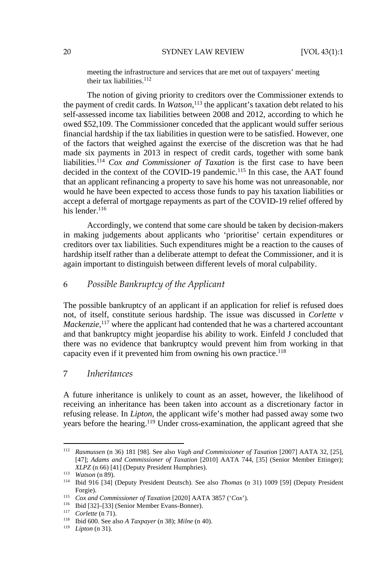meeting the infrastructure and services that are met out of taxpayers' meeting their tax liabilities.<sup>112</sup>

The notion of giving priority to creditors over the Commissioner extends to the payment of credit cards. In *Watson*, 113 the applicant's taxation debt related to his self-assessed income tax liabilities between 2008 and 2012, according to which he owed \$52,109. The Commissioner conceded that the applicant would suffer serious financial hardship if the tax liabilities in question were to be satisfied. However, one of the factors that weighed against the exercise of the discretion was that he had made six payments in 2013 in respect of credit cards, together with some bank liabilities.<sup>114</sup> *Cox and Commissioner of Taxation* is the first case to have been decided in the context of the COVID-19 pandemic.<sup>115</sup> In this case, the AAT found that an applicant refinancing a property to save his home was not unreasonable, nor would he have been expected to access those funds to pay his taxation liabilities or accept a deferral of mortgage repayments as part of the COVID-19 relief offered by his lender.<sup>116</sup>

Accordingly, we contend that some care should be taken by decision-makers in making judgements about applicants who 'prioritise' certain expenditures or creditors over tax liabilities. Such expenditures might be a reaction to the causes of hardship itself rather than a deliberate attempt to defeat the Commissioner, and it is again important to distinguish between different levels of moral culpability.

## 6 *Possible Bankruptcy of the Applicant*

The possible bankruptcy of an applicant if an application for relief is refused does not, of itself, constitute serious hardship. The issue was discussed in *Corlette v*  Mackenzie,<sup>117</sup> where the applicant had contended that he was a chartered accountant and that bankruptcy might jeopardise his ability to work. Einfeld J concluded that there was no evidence that bankruptcy would prevent him from working in that capacity even if it prevented him from owning his own practice.<sup>118</sup>

## 7 *Inheritances*

A future inheritance is unlikely to count as an asset, however, the likelihood of receiving an inheritance has been taken into account as a discretionary factor in refusing release. In *Lipton*, the applicant wife's mother had passed away some two years before the hearing.119 Under cross-examination, the applicant agreed that she

<sup>112</sup> *Rasmussen* (n 36) 181 [98]. See also *Vagh and Commissioner of Taxation* [2007] AATA 32, [25], [47]; *Adams and Commissioner of Taxation* [2010] AATA 744, [35] (Senior Member Ettinger); *XLPZ* (n 66) [41] (Deputy President Humphries). 113 *Watson* (n 89). 114 Ibid 916 [34] (Deputy President Deutsch). See also *Thomas* (n 31) 1009 [59] (Deputy President

Forgie).<br>
<sup>115</sup> Cox and Commissioner of Taxation [2020] AATA 3857 ('Cox').<br>
<sup>116</sup> Ibid [32]–[33] (Senior Member Evans-Bonner).<br>
<sup>117</sup> Corlette (n 71).<br>
<sup>118</sup> Ibid 600. See also A Taxpayer (n 38); Milne (n 40).<br>
<sup>119</sup> Lipt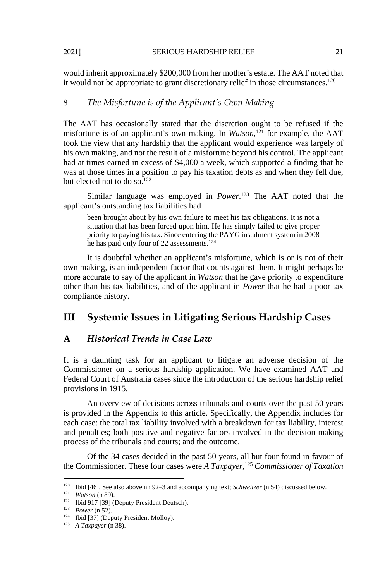would inherit approximately \$200,000 from her mother's estate. The AAT noted that it would not be appropriate to grant discretionary relief in those circumstances.<sup>120</sup>

## 8 *The Misfortune is of the Applicant's Own Making*

The AAT has occasionally stated that the discretion ought to be refused if the misfortune is of an applicant's own making. In *Watson*, 121 for example, the AAT took the view that any hardship that the applicant would experience was largely of his own making, and not the result of a misfortune beyond his control. The applicant had at times earned in excess of \$4,000 a week, which supported a finding that he was at those times in a position to pay his taxation debts as and when they fell due, but elected not to do so.<sup>122</sup>

Similar language was employed in *Power*. 123 The AAT noted that the applicant's outstanding tax liabilities had

been brought about by his own failure to meet his tax obligations. It is not a situation that has been forced upon him. He has simply failed to give proper priority to paying his tax. Since entering the PAYG instalment system in 2008 he has paid only four of 22 assessments.<sup>124</sup>

It is doubtful whether an applicant's misfortune, which is or is not of their own making, is an independent factor that counts against them. It might perhaps be more accurate to say of the applicant in *Watson* that he gave priority to expenditure other than his tax liabilities, and of the applicant in *Power* that he had a poor tax compliance history.

## **III Systemic Issues in Litigating Serious Hardship Cases**

## **A** *Historical Trends in Case Law*

It is a daunting task for an applicant to litigate an adverse decision of the Commissioner on a serious hardship application. We have examined AAT and Federal Court of Australia cases since the introduction of the serious hardship relief provisions in 1915.

An overview of decisions across tribunals and courts over the past 50 years is provided in the Appendix to this article. Specifically, the Appendix includes for each case: the total tax liability involved with a breakdown for tax liability, interest and penalties; both positive and negative factors involved in the decision-making process of the tribunals and courts; and the outcome.

Of the 34 cases decided in the past 50 years, all but four found in favour of the Commissioner. These four cases were *A Taxpayer*, <sup>125</sup> *Commissioner of Taxation* 

<sup>&</sup>lt;sup>120</sup> Ibid [46]. See also above nn 92–3 and accompanying text; *Schweitzer* (n 54) discussed below.<br><sup>121</sup> *Watson* (n 89).<br><sup>122</sup> Ibid 917 [39] (Deputy President Deutsch).<br><sup>123</sup> *Power* (n 52).<br><sup>123</sup> Ibid [37] (Deputy Pres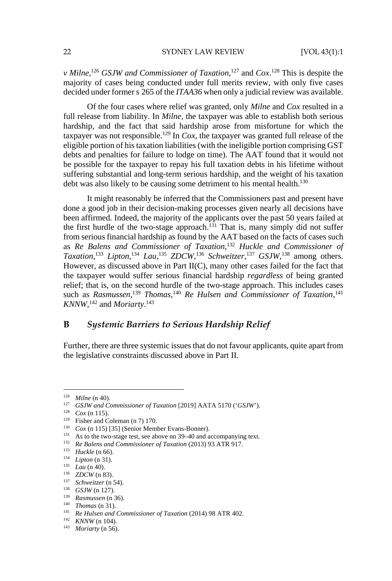*v* Milne,<sup>126</sup> *GSJW and Commissioner of Taxation*,<sup>127</sup> and *Cox*.<sup>128</sup> This is despite the majority of cases being conducted under full merits review, with only five cases decided under former s 265 of the *ITAA36* when only a judicial review was available.

Of the four cases where relief was granted, only *Milne* and *Cox* resulted in a full release from liability. In *Milne*, the taxpayer was able to establish both serious hardship, and the fact that said hardship arose from misfortune for which the taxpayer was not responsible.129 In *Cox*, the taxpayer was granted full release of the eligible portion of his taxation liabilities (with the ineligible portion comprising GST debts and penalties for failure to lodge on time). The AAT found that it would not be possible for the taxpayer to repay his full taxation debts in his lifetime without suffering substantial and long-term serious hardship, and the weight of his taxation debt was also likely to be causing some detriment to his mental health.<sup>130</sup>

It might reasonably be inferred that the Commissioners past and present have done a good job in their decision-making processes given nearly all decisions have been affirmed. Indeed, the majority of the applicants over the past 50 years failed at the first hurdle of the two-stage approach.<sup>131</sup> That is, many simply did not suffer from serious financial hardship as found by the AAT based on the facts of cases such as *Re Balens and Commissioner of Taxation*, <sup>132</sup> *Huckle and Commissioner of Taxation*, <sup>133</sup> *Lipton*, <sup>134</sup> *Lau*, <sup>135</sup> *ZDCW*, <sup>136</sup> *Schweitzer*, <sup>137</sup> *GSJW*, 138 among others. However, as discussed above in Part II(C), many other cases failed for the fact that the taxpayer would suffer serious financial hardship *regardless* of being granted relief; that is, on the second hurdle of the two-stage approach. This includes cases such as *Rasmussen*,<sup>139</sup> Thomas,<sup>140</sup> Re Hulsen and Commissioner of Taxation,<sup>141</sup> *KNNW*, <sup>142</sup> and *Moriarty*. 143

## **B** *Systemic Barriers to Serious Hardship Relief*

Further, there are three systemic issues that do not favour applicants, quite apart from the legislative constraints discussed above in Part II.

<sup>&</sup>lt;sup>126</sup> Milne (n 40).<br>
<sup>127</sup> *GSJW and Commissioner of Taxation* [2019] AATA 5170 (*'GSJW'*).<br>
<sup>128</sup> *Cox* (n 115).<br>
<sup>129</sup> Fisher and Coleman (n 7) 170.<br> *Cox* (n 115) [35] (Senior Member Evans-Bonner).<br>
<sup>131</sup> As to the two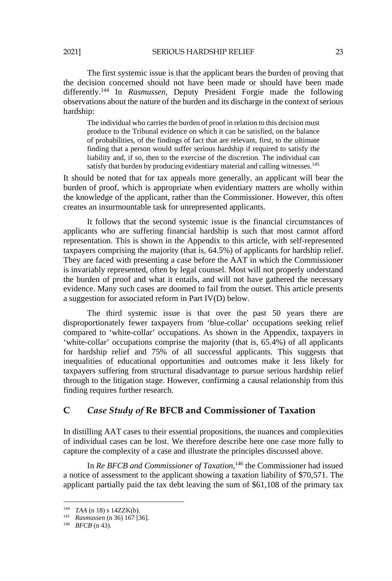2021] SERIOUS HARDSHIP RELIEF 23

The first systemic issue is that the applicant bears the burden of proving that the decision concerned should not have been made or should have been made differently.144 In *Rasmussen*, Deputy President Forgie made the following observations about the nature of the burden and its discharge in the context of serious hardship:

The individual who carries the burden of proof in relation to this decision must produce to the Tribunal evidence on which it can be satisfied, on the balance of probabilities, of the findings of fact that are relevant, first, to the ultimate finding that a person would suffer serious hardship if required to satisfy the liability and, if so, then to the exercise of the discretion. The individual can satisfy that burden by producing evidentiary material and calling witnesses.<sup>145</sup>

It should be noted that for tax appeals more generally, an applicant will bear the burden of proof, which is appropriate when evidentiary matters are wholly within the knowledge of the applicant, rather than the Commissioner. However, this often creates an insurmountable task for unrepresented applicants.

It follows that the second systemic issue is the financial circumstances of applicants who are suffering financial hardship is such that most cannot afford representation. This is shown in the Appendix to this article, with self-represented taxpayers comprising the majority (that is, 64.5%) of applicants for hardship relief. They are faced with presenting a case before the AAT in which the Commissioner is invariably represented, often by legal counsel. Most will not properly understand the burden of proof and what it entails, and will not have gathered the necessary evidence. Many such cases are doomed to fail from the outset. This article presents a suggestion for associated reform in Part IV(D) below.

The third systemic issue is that over the past 50 years there are disproportionately fewer taxpayers from 'blue-collar' occupations seeking relief compared to 'white-collar' occupations. As shown in the Appendix, taxpayers in 'white-collar' occupations comprise the majority (that is, 65.4%) of all applicants for hardship relief and 75% of all successful applicants. This suggests that inequalities of educational opportunities and outcomes make it less likely for taxpayers suffering from structural disadvantage to pursue serious hardship relief through to the litigation stage. However, confirming a causal relationship from this finding requires further research.

## **C** *Case Study of* **Re BFCB and Commissioner of Taxation**

In distilling AAT cases to their essential propositions, the nuances and complexities of individual cases can be lost. We therefore describe here one case more fully to capture the complexity of a case and illustrate the principles discussed above.

In *Re BFCB and Commissioner of Taxation*, 146 the Commissioner had issued a notice of assessment to the applicant showing a taxation liability of \$70,571. The applicant partially paid the tax debt leaving the sum of \$61,108 of the primary tax

<sup>144</sup> *TAA* (n 18) s 14ZZK(b). 145 *Rasmussen* (n 36) 167 [36]. 146 *BFCB* (n 43).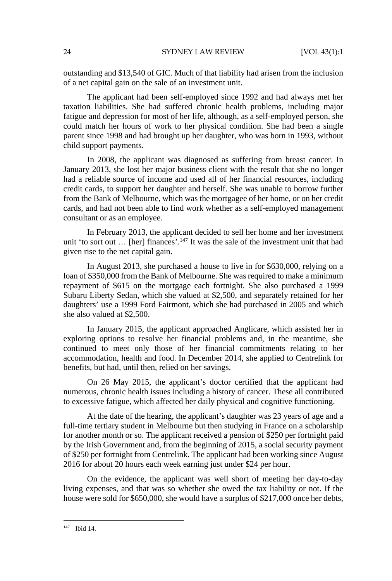outstanding and \$13,540 of GIC. Much of that liability had arisen from the inclusion of a net capital gain on the sale of an investment unit.

The applicant had been self-employed since 1992 and had always met her taxation liabilities. She had suffered chronic health problems, including major fatigue and depression for most of her life, although, as a self-employed person, she could match her hours of work to her physical condition. She had been a single parent since 1998 and had brought up her daughter, who was born in 1993, without child support payments.

In 2008, the applicant was diagnosed as suffering from breast cancer. In January 2013, she lost her major business client with the result that she no longer had a reliable source of income and used all of her financial resources, including credit cards, to support her daughter and herself. She was unable to borrow further from the Bank of Melbourne, which was the mortgagee of her home, or on her credit cards, and had not been able to find work whether as a self-employed management consultant or as an employee.

In February 2013, the applicant decided to sell her home and her investment unit 'to sort out ... [her] finances'.<sup>147</sup> It was the sale of the investment unit that had given rise to the net capital gain.

In August 2013, she purchased a house to live in for \$630,000, relying on a loan of \$350,000 from the Bank of Melbourne. She was required to make a minimum repayment of \$615 on the mortgage each fortnight. She also purchased a 1999 Subaru Liberty Sedan, which she valued at \$2,500, and separately retained for her daughters' use a 1999 Ford Fairmont, which she had purchased in 2005 and which she also valued at \$2,500.

In January 2015, the applicant approached Anglicare, which assisted her in exploring options to resolve her financial problems and, in the meantime, she continued to meet only those of her financial commitments relating to her accommodation, health and food. In December 2014, she applied to Centrelink for benefits, but had, until then, relied on her savings.

On 26 May 2015, the applicant's doctor certified that the applicant had numerous, chronic health issues including a history of cancer. These all contributed to excessive fatigue, which affected her daily physical and cognitive functioning.

At the date of the hearing, the applicant's daughter was 23 years of age and a full-time tertiary student in Melbourne but then studying in France on a scholarship for another month or so. The applicant received a pension of \$250 per fortnight paid by the Irish Government and, from the beginning of 2015, a social security payment of \$250 per fortnight from Centrelink. The applicant had been working since August 2016 for about 20 hours each week earning just under \$24 per hour.

On the evidence, the applicant was well short of meeting her day-to-day living expenses, and that was so whether she owed the tax liability or not. If the house were sold for \$650,000, she would have a surplus of \$217,000 once her debts,

<sup>147</sup> Ibid 14.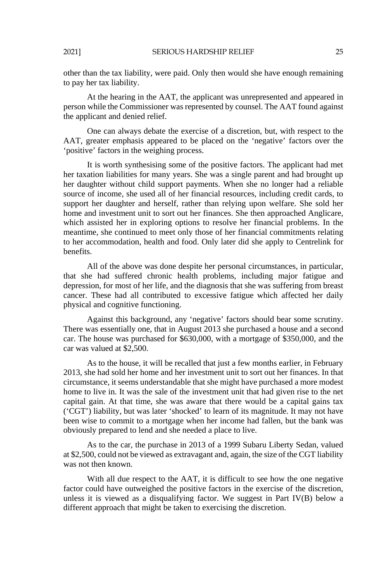other than the tax liability, were paid. Only then would she have enough remaining to pay her tax liability.

At the hearing in the AAT, the applicant was unrepresented and appeared in person while the Commissioner was represented by counsel. The AAT found against the applicant and denied relief.

One can always debate the exercise of a discretion, but, with respect to the AAT, greater emphasis appeared to be placed on the 'negative' factors over the 'positive' factors in the weighing process.

It is worth synthesising some of the positive factors. The applicant had met her taxation liabilities for many years. She was a single parent and had brought up her daughter without child support payments. When she no longer had a reliable source of income, she used all of her financial resources, including credit cards, to support her daughter and herself, rather than relying upon welfare. She sold her home and investment unit to sort out her finances. She then approached Anglicare, which assisted her in exploring options to resolve her financial problems. In the meantime, she continued to meet only those of her financial commitments relating to her accommodation, health and food. Only later did she apply to Centrelink for benefits.

All of the above was done despite her personal circumstances, in particular, that she had suffered chronic health problems, including major fatigue and depression, for most of her life, and the diagnosis that she was suffering from breast cancer. These had all contributed to excessive fatigue which affected her daily physical and cognitive functioning.

Against this background, any 'negative' factors should bear some scrutiny. There was essentially one, that in August 2013 she purchased a house and a second car. The house was purchased for \$630,000, with a mortgage of \$350,000, and the car was valued at \$2,500.

As to the house, it will be recalled that just a few months earlier, in February 2013, she had sold her home and her investment unit to sort out her finances. In that circumstance, it seems understandable that she might have purchased a more modest home to live in. It was the sale of the investment unit that had given rise to the net capital gain. At that time, she was aware that there would be a capital gains tax ('CGT') liability, but was later 'shocked' to learn of its magnitude. It may not have been wise to commit to a mortgage when her income had fallen, but the bank was obviously prepared to lend and she needed a place to live.

As to the car, the purchase in 2013 of a 1999 Subaru Liberty Sedan, valued at \$2,500, could not be viewed as extravagant and, again, the size of the CGT liability was not then known.

With all due respect to the AAT, it is difficult to see how the one negative factor could have outweighed the positive factors in the exercise of the discretion, unless it is viewed as a disqualifying factor. We suggest in Part IV(B) below a different approach that might be taken to exercising the discretion.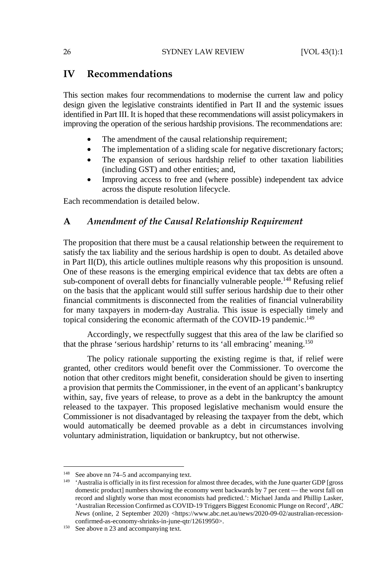## **IV Recommendations**

This section makes four recommendations to modernise the current law and policy design given the legislative constraints identified in Part II and the systemic issues identified in Part III. It is hoped that these recommendations will assist policymakers in improving the operation of the serious hardship provisions. The recommendations are:

- The amendment of the causal relationship requirement;
- The implementation of a sliding scale for negative discretionary factors;
- The expansion of serious hardship relief to other taxation liabilities (including GST) and other entities; and,
- Improving access to free and (where possible) independent tax advice across the dispute resolution lifecycle.

Each recommendation is detailed below.

## **A** *Amendment of the Causal Relationship Requirement*

The proposition that there must be a causal relationship between the requirement to satisfy the tax liability and the serious hardship is open to doubt. As detailed above in Part II(D), this article outlines multiple reasons why this proposition is unsound. One of these reasons is the emerging empirical evidence that tax debts are often a sub-component of overall debts for financially vulnerable people.<sup>148</sup> Refusing relief on the basis that the applicant would still suffer serious hardship due to their other financial commitments is disconnected from the realities of financial vulnerability for many taxpayers in modern-day Australia. This issue is especially timely and topical considering the economic aftermath of the COVID-19 pandemic.<sup>149</sup>

Accordingly, we respectfully suggest that this area of the law be clarified so that the phrase 'serious hardship' returns to its 'all embracing' meaning.150

The policy rationale supporting the existing regime is that, if relief were granted, other creditors would benefit over the Commissioner. To overcome the notion that other creditors might benefit, consideration should be given to inserting a provision that permits the Commissioner, in the event of an applicant's bankruptcy within, say, five years of release, to prove as a debt in the bankruptcy the amount released to the taxpayer. This proposed legislative mechanism would ensure the Commissioner is not disadvantaged by releasing the taxpayer from the debt, which would automatically be deemed provable as a debt in circumstances involving voluntary administration, liquidation or bankruptcy, but not otherwise.

<sup>&</sup>lt;sup>148</sup> See above nn 74–5 and accompanying text.

 $149$  'Australia is officially in its first recession for almost three decades, with the June quarter GDP [gross] domestic product] numbers showing the economy went backwards by 7 per cent — the worst fall on record and slightly worse than most economists had predicted.': Michael Janda and Phillip Lasker, 'Australian Recession Confirmed as COVID-19 Triggers Biggest Economic Plunge on Record', *ABC News* (online, 2 September 2020) <https://www.abc.net.au/news/2020-09-02/australian-recessionconfirmed-as-economy-shrinks-in-june-qtr/12619950>.<br><sup>150</sup> See above n 23 and accompanying text.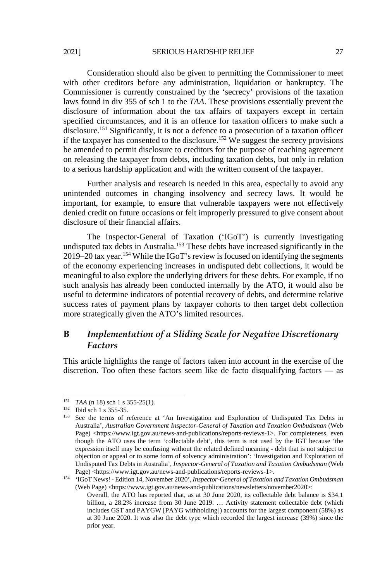#### 2021] SERIOUS HARDSHIP RELIEF 27

Consideration should also be given to permitting the Commissioner to meet with other creditors before any administration, liquidation or bankruptcy. The Commissioner is currently constrained by the 'secrecy' provisions of the taxation laws found in div 355 of sch 1 to the *TAA*. These provisions essentially prevent the disclosure of information about the tax affairs of taxpayers except in certain specified circumstances, and it is an offence for taxation officers to make such a disclosure.<sup>151</sup> Significantly, it is not a defence to a prosecution of a taxation officer if the taxpayer has consented to the disclosure.<sup>152</sup> We suggest the secrecy provisions be amended to permit disclosure to creditors for the purpose of reaching agreement on releasing the taxpayer from debts, including taxation debts, but only in relation to a serious hardship application and with the written consent of the taxpayer.

Further analysis and research is needed in this area, especially to avoid any unintended outcomes in changing insolvency and secrecy laws. It would be important, for example, to ensure that vulnerable taxpayers were not effectively denied credit on future occasions or felt improperly pressured to give consent about disclosure of their financial affairs.

The Inspector-General of Taxation ('IGoT') is currently investigating undisputed tax debts in Australia.153 These debts have increased significantly in the 2019–20 tax year.154 While the IGoT's review is focused on identifying the segments of the economy experiencing increases in undisputed debt collections, it would be meaningful to also explore the underlying drivers for these debts. For example, if no such analysis has already been conducted internally by the ATO, it would also be useful to determine indicators of potential recovery of debts, and determine relative success rates of payment plans by taxpayer cohorts to then target debt collection more strategically given the ATO's limited resources.

## **B** *Implementation of a Sliding Scale for Negative Discretionary Factors*

This article highlights the range of factors taken into account in the exercise of the discretion. Too often these factors seem like de facto disqualifying factors — as

<sup>&</sup>lt;sup>151</sup> *TAA* (n 18) sch 1 s 355-25(1).

<sup>&</sup>lt;sup>152</sup> Ibid sch 1 s 355-35.<br><sup>153</sup> See the terms of reference at 'An Investigation and Exploration of Undisputed Tax Debts in Australia', *Australian Government Inspector-General of Taxation and Taxation Ombudsman* (Web Page) <https://www.igt.gov.au/news-and-publications/reports-reviews-1>. For completeness, even though the ATO uses the term 'collectable debt', this term is not used by the IGT because 'the expression itself may be confusing without the related defined meaning - debt that is not subject to objection or appeal or to some form of solvency administration': 'Investigation and Exploration of Undisputed Tax Debts in Australia', *Inspector-General of Taxation and Taxation Ombudsman* (Web

Page) <https://www.igt.gov.au/news-and-publications/reports-reviews-1>. 154 'IGoT News! - Edition 14, November 2020', *Inspector-General of Taxation and Taxation Ombudsman* (Web Page) <https://www.igt.gov.au/news-and-publications/newsletters/november2020>:

Overall, the ATO has reported that, as at 30 June 2020, its collectable debt balance is \$34.1 billion, a 28.2% increase from 30 June 2019. … Activity statement collectable debt (which includes GST and PAYGW [PAYG withholding]) accounts for the largest component (58%) as at 30 June 2020. It was also the debt type which recorded the largest increase (39%) since the prior year.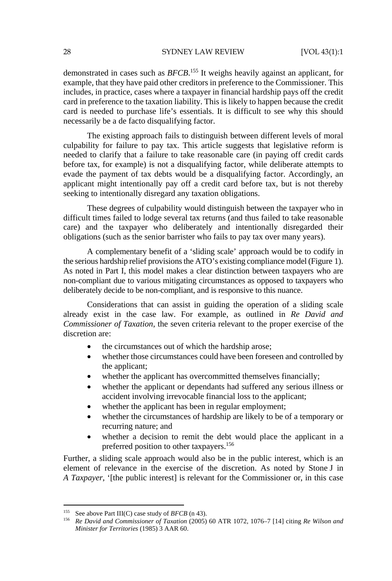#### 28 SYDNEY LAW REVIEW [VOL 43(1):1

demonstrated in cases such as *BFCB*. 155 It weighs heavily against an applicant, for example, that they have paid other creditors in preference to the Commissioner. This includes, in practice, cases where a taxpayer in financial hardship pays off the credit card in preference to the taxation liability. This is likely to happen because the credit card is needed to purchase life's essentials. It is difficult to see why this should necessarily be a de facto disqualifying factor.

The existing approach fails to distinguish between different levels of moral culpability for failure to pay tax. This article suggests that legislative reform is needed to clarify that a failure to take reasonable care (in paying off credit cards before tax, for example) is not a disqualifying factor, while deliberate attempts to evade the payment of tax debts would be a disqualifying factor. Accordingly, an applicant might intentionally pay off a credit card before tax, but is not thereby seeking to intentionally disregard any taxation obligations.

These degrees of culpability would distinguish between the taxpayer who in difficult times failed to lodge several tax returns (and thus failed to take reasonable care) and the taxpayer who deliberately and intentionally disregarded their obligations (such as the senior barrister who fails to pay tax over many years).

A complementary benefit of a 'sliding scale' approach would be to codify in the serious hardship relief provisions the ATO's existing compliance model (Figure 1). As noted in Part I, this model makes a clear distinction between taxpayers who are non-compliant due to various mitigating circumstances as opposed to taxpayers who deliberately decide to be non-compliant, and is responsive to this nuance.

Considerations that can assist in guiding the operation of a sliding scale already exist in the case law. For example, as outlined in *Re David and Commissioner of Taxation*, the seven criteria relevant to the proper exercise of the discretion are:

- the circumstances out of which the hardship arose;
- whether those circumstances could have been foreseen and controlled by the applicant;
- whether the applicant has overcommitted themselves financially;
- whether the applicant or dependants had suffered any serious illness or accident involving irrevocable financial loss to the applicant;
- whether the applicant has been in regular employment;
- whether the circumstances of hardship are likely to be of a temporary or recurring nature; and
- whether a decision to remit the debt would place the applicant in a preferred position to other taxpayers.156

Further, a sliding scale approach would also be in the public interest, which is an element of relevance in the exercise of the discretion. As noted by Stone J in *A Taxpayer*, '[the public interest] is relevant for the Commissioner or, in this case

<sup>155</sup> See above Part III(C) case study of *BFCB* (n 43). 156 *Re David and Commissioner of Taxation* (2005) 60 ATR 1072, 1076–7 [14] citing *Re Wilson and Minister for Territories* (1985) 3 AAR 60.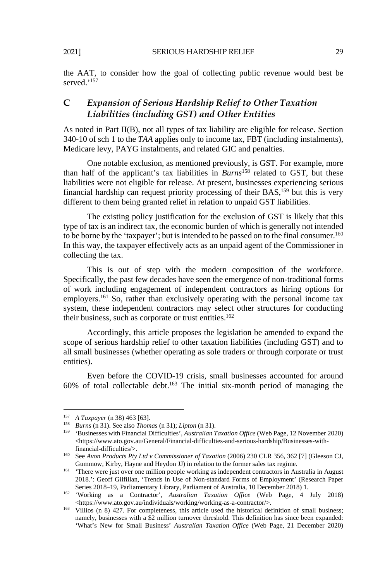the AAT, to consider how the goal of collecting public revenue would best be served<sup>,157</sup>

## **C** *Expansion of Serious Hardship Relief to Other Taxation Liabilities (including GST) and Other Entities*

As noted in Part II(B), not all types of tax liability are eligible for release. Section 340-10 of sch 1 to the *TAA* applies only to income tax, FBT (including instalments), Medicare levy, PAYG instalments, and related GIC and penalties.

One notable exclusion, as mentioned previously, is GST. For example, more than half of the applicant's tax liabilities in *Burns*158 related to GST, but these liabilities were not eligible for release. At present, businesses experiencing serious financial hardship can request priority processing of their BAS,<sup>159</sup> but this is very different to them being granted relief in relation to unpaid GST liabilities.

The existing policy justification for the exclusion of GST is likely that this type of tax is an indirect tax, the economic burden of which is generally not intended to be borne by the 'taxpayer'; but is intended to be passed on to the final consumer.<sup>160</sup> In this way, the taxpayer effectively acts as an unpaid agent of the Commissioner in collecting the tax.

This is out of step with the modern composition of the workforce. Specifically, the past few decades have seen the emergence of non-traditional forms of work including engagement of independent contractors as hiring options for employers.<sup>161</sup> So, rather than exclusively operating with the personal income tax system, these independent contractors may select other structures for conducting their business, such as corporate or trust entities.<sup>162</sup>

Accordingly, this article proposes the legislation be amended to expand the scope of serious hardship relief to other taxation liabilities (including GST) and to all small businesses (whether operating as sole traders or through corporate or trust entities).

Even before the COVID-19 crisis, small businesses accounted for around  $60\%$  of total collectable debt.<sup>163</sup> The initial six-month period of managing the

l

<sup>&</sup>lt;sup>157</sup> A Taxpayer (n 38) 463 [63].<br><sup>158</sup> Burns (n 31). See also Thomas (n 31); Lipton (n 31).<br><sup>159</sup> 'Businesses with Financial Difficulties', Australian Taxation Office (Web Page, 12 November 2020) <https://www.ato.gov.au/General/Financial-difficulties-and-serious-hardship/Businesses-with-

financial-difficulties/>. 160 See *Avon Products Pty Ltd v Commissioner of Taxation* (2006) 230 CLR 356, 362 [7] (Gleeson CJ,

Gummow, Kirby, Hayne and Heydon JJ) in relation to the former sales tax regime.<br><sup>161</sup> 'There were just over one million people working as independent contractors in Australia in August 2018.': Geoff Gilfillan, 'Trends in Use of Non-standard Forms of Employment' (Research Paper

Series 2018–19, Parliamentary Library, Parliament of Australia, 10 December 2018) 1.<br>
'Working as a Contractor', *Australian Taxation Office* (Web Page, 4 July 2018)<br>
<https://www.ato.gov.au/individuals/working/working-as-

 $163$  Villios (n 8) 427. For completeness, this article used the historical definition of small business; namely, businesses with a \$2 million turnover threshold. This definition has since been expanded: 'What's New for Small Business' *Australian Taxation Office* (Web Page, 21 December 2020)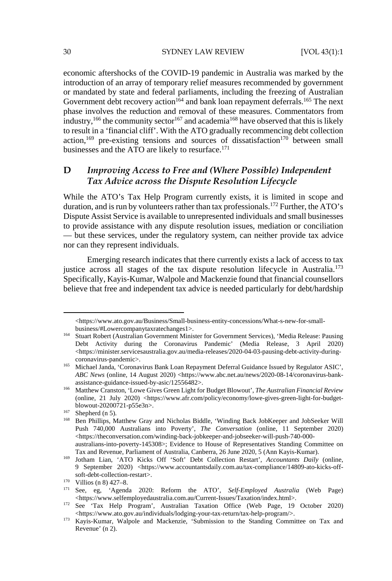#### 30 SYDNEY LAW REVIEW [VOL 43(1):1

economic aftershocks of the COVID-19 pandemic in Australia was marked by the introduction of an array of temporary relief measures recommended by government or mandated by state and federal parliaments, including the freezing of Australian Government debt recovery action<sup>164</sup> and bank loan repayment deferrals.<sup>165</sup> The next phase involves the reduction and removal of these measures. Commentators from industry,<sup>166</sup> the community sector<sup>167</sup> and academia<sup>168</sup> have observed that this is likely to result in a 'financial cliff'. With the ATO gradually recommencing debt collection action,<sup>169</sup> pre-existing tensions and sources of dissatisfaction<sup>170</sup> between small businesses and the ATO are likely to resurface.<sup>171</sup>

## **D** *Improving Access to Free and (Where Possible) Independent Tax Advice across the Dispute Resolution Lifecycle*

While the ATO's Tax Help Program currently exists, it is limited in scope and duration, and is run by volunteers rather than tax professionals.172 Further, the ATO's Dispute Assist Service is available to unrepresented individuals and small businesses to provide assistance with any dispute resolution issues, mediation or conciliation — but these services, under the regulatory system, can neither provide tax advice nor can they represent individuals.

Emerging research indicates that there currently exists a lack of access to tax justice across all stages of the tax dispute resolution lifecycle in Australia.<sup>173</sup> Specifically, Kayis-Kumar, Walpole and Mackenzie found that financial counsellors believe that free and independent tax advice is needed particularly for debt/hardship

l

<sup>&</sup>lt;https://www.ato.gov.au/Business/Small-business-entity-concessions/What-s-new-for-small-

business/#Lowercompanytaxratechanges1>. 164 Stuart Robert (Australian Government Minister for Government Services), 'Media Release: Pausing Debt Activity during the Coronavirus Pandemic' (Media Release, 3 April 2020)  $\langle$ https://minister.servicesaustralia.gov.au/media-releases/2020-04-03-pausing-debt-activity-duringcoronavirus-pandemic>. 165 Michael Janda, 'Coronavirus Bank Loan Repayment Deferral Guidance Issued by Regulator ASIC',

*ABC News* (online, 14 August 2020) <https://www.abc.net.au/news/2020-08-14/coronavirus-bank-

assistance-guidance-issued-by-asic/12556482>. 166 Matthew Cranston, 'Lowe Gives Green Light for Budget Blowout', *The Australian Financial Review* (online, 21 July 2020) <https://www.afr.com/policy/economy/lowe-gives-green-light-for-budget-blowout-20200721-p55e3n>.

<sup>&</sup>lt;sup>167</sup> Shepherd (n 5). <sup>168</sup> Ben Phillips, Matthew Gray and Nicholas Biddle, 'Winding Back JobKeeper and JobSeeker Will Push 740,000 Australians into Poverty', *The Conversation* (online, 11 September 2020) <https://theconversation.com/winding-back-jobkeeper-and-jobseeker-will-push-740-000 australians-into-poverty-145308>; Evidence to House of Representatives Standing Committee on

Tax and Revenue, Parliament of Australia, Canberra, 26 June 2020, 5 (Ann Kayis-Kumar). 169 Jotham Lian, 'ATO Kicks Off 'Soft' Debt Collection Restart', *Accountants Daily* (online, 9 September 2020) <https://www.accountantsdaily.com.au/tax-compliance/14809-ato-kicks-off-

soft-debt-collection-restart>.<br>
<sup>170</sup> Villios (n 8) 427–8.<br>
See, eg, 'Agenda 2020: Reform the ATO', *Self-Employed Australia* (Web Page)<br>
<https://www.selfemployedaustralia.com.au/Current-Issues/Taxation/index.html>.

<sup>&</sup>lt;sup>172</sup> See 'Tax Help Program', Australian Taxation Office (Web Page, 19 October 2020)

<sup>&</sup>lt;https://www.ato.gov.au/individuals/lodging-your-tax-return/tax-help-program/>. 173 Kayis-Kumar, Walpole and Mackenzie, 'Submission to the Standing Committee on Tax and Revenue' (n 2).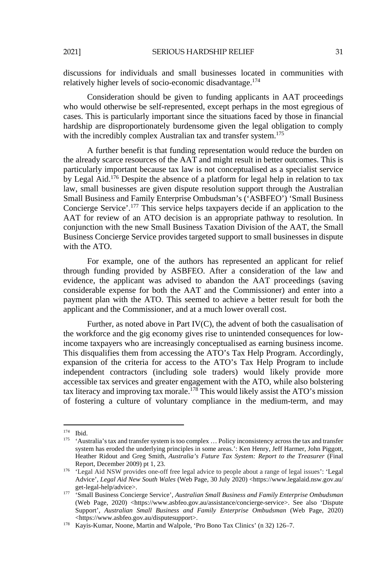discussions for individuals and small businesses located in communities with relatively higher levels of socio-economic disadvantage.174

Consideration should be given to funding applicants in AAT proceedings who would otherwise be self-represented, except perhaps in the most egregious of cases. This is particularly important since the situations faced by those in financial hardship are disproportionately burdensome given the legal obligation to comply with the incredibly complex Australian tax and transfer system.<sup>175</sup>

A further benefit is that funding representation would reduce the burden on the already scarce resources of the AAT and might result in better outcomes. This is particularly important because tax law is not conceptualised as a specialist service by Legal Aid.176 Despite the absence of a platform for legal help in relation to tax law, small businesses are given dispute resolution support through the Australian Small Business and Family Enterprise Ombudsman's ('ASBFEO') 'Small Business Concierge Service'.177 This service helps taxpayers decide if an application to the AAT for review of an ATO decision is an appropriate pathway to resolution. In conjunction with the new Small Business Taxation Division of the AAT, the Small Business Concierge Service provides targeted support to small businesses in dispute with the ATO.

For example, one of the authors has represented an applicant for relief through funding provided by ASBFEO. After a consideration of the law and evidence, the applicant was advised to abandon the AAT proceedings (saving considerable expense for both the AAT and the Commissioner) and enter into a payment plan with the ATO. This seemed to achieve a better result for both the applicant and the Commissioner, and at a much lower overall cost.

Further, as noted above in Part IV(C), the advent of both the casualisation of the workforce and the gig economy gives rise to unintended consequences for lowincome taxpayers who are increasingly conceptualised as earning business income. This disqualifies them from accessing the ATO's Tax Help Program. Accordingly, expansion of the criteria for access to the ATO's Tax Help Program to include independent contractors (including sole traders) would likely provide more accessible tax services and greater engagement with the ATO, while also bolstering tax literacy and improving tax morale.<sup>178</sup> This would likely assist the ATO's mission of fostering a culture of voluntary compliance in the medium-term, and may

 $174$  Ibid.

<sup>&</sup>lt;sup>175</sup> 'Australia's tax and transfer system is too complex ... Policy inconsistency across the tax and transfer system has eroded the underlying principles in some areas.': Ken Henry, Jeff Harmer, John Piggott, Heather Ridout and Greg Smith, *Australia's Future Tax System: Report to the Treasurer* (Final Report, December 2009) pt 1, 23.

<sup>176 &#</sup>x27;Legal Aid NSW provides one-off free legal advice to people about a range of legal issues': 'Legal Advice', *Legal Aid New South Wales* (Web Page, 30 July 2020) <https://www.legalaid.nsw.gov.au/

get-legal-help/advice>. 177 'Small Business Concierge Service', *Australian Small Business and Family Enterprise Ombudsman* (Web Page, 2020) <https://www.asbfeo.gov.au/assistance/concierge-service>. See also 'Dispute Support', *Australian Small Business and Family Enterprise Ombudsman* (Web Page, 2020) <https://www.asbfeo.gov.au/disputesupport>. 178 Kayis-Kumar, Noone, Martin and Walpole, 'Pro Bono Tax Clinics' (n 32) 126–7.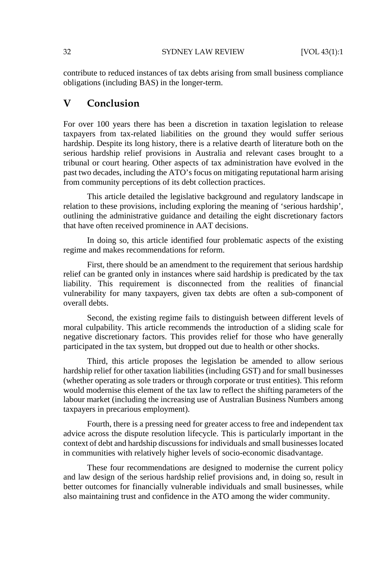contribute to reduced instances of tax debts arising from small business compliance obligations (including BAS) in the longer-term.

## **V Conclusion**

For over 100 years there has been a discretion in taxation legislation to release taxpayers from tax-related liabilities on the ground they would suffer serious hardship. Despite its long history, there is a relative dearth of literature both on the serious hardship relief provisions in Australia and relevant cases brought to a tribunal or court hearing. Other aspects of tax administration have evolved in the past two decades, including the ATO's focus on mitigating reputational harm arising from community perceptions of its debt collection practices.

This article detailed the legislative background and regulatory landscape in relation to these provisions, including exploring the meaning of 'serious hardship', outlining the administrative guidance and detailing the eight discretionary factors that have often received prominence in AAT decisions.

In doing so, this article identified four problematic aspects of the existing regime and makes recommendations for reform.

First, there should be an amendment to the requirement that serious hardship relief can be granted only in instances where said hardship is predicated by the tax liability. This requirement is disconnected from the realities of financial vulnerability for many taxpayers, given tax debts are often a sub-component of overall debts.

Second, the existing regime fails to distinguish between different levels of moral culpability. This article recommends the introduction of a sliding scale for negative discretionary factors. This provides relief for those who have generally participated in the tax system, but dropped out due to health or other shocks.

Third, this article proposes the legislation be amended to allow serious hardship relief for other taxation liabilities (including GST) and for small businesses (whether operating as sole traders or through corporate or trust entities). This reform would modernise this element of the tax law to reflect the shifting parameters of the labour market (including the increasing use of Australian Business Numbers among taxpayers in precarious employment).

Fourth, there is a pressing need for greater access to free and independent tax advice across the dispute resolution lifecycle. This is particularly important in the context of debt and hardship discussions for individuals and small businesses located in communities with relatively higher levels of socio-economic disadvantage.

These four recommendations are designed to modernise the current policy and law design of the serious hardship relief provisions and, in doing so, result in better outcomes for financially vulnerable individuals and small businesses, while also maintaining trust and confidence in the ATO among the wider community.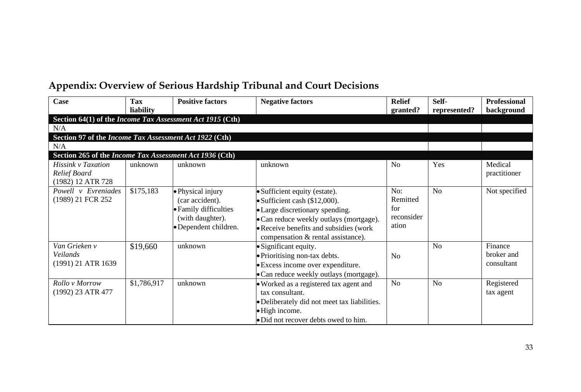## **Appendix: Overview of Serious Hardship Tribunal and Court Decisions**

| Case                                                      | Tax<br>liability | <b>Positive factors</b>                                                                                    | <b>Negative factors</b>                                                                                                                                                                                                       | <b>Relief</b><br>granted?                     | Self-<br>represented? | <b>Professional</b><br>background   |
|-----------------------------------------------------------|------------------|------------------------------------------------------------------------------------------------------------|-------------------------------------------------------------------------------------------------------------------------------------------------------------------------------------------------------------------------------|-----------------------------------------------|-----------------------|-------------------------------------|
| Section 64(1) of the Income Tax Assessment Act 1915 (Cth) |                  |                                                                                                            |                                                                                                                                                                                                                               |                                               |                       |                                     |
| N/A                                                       |                  |                                                                                                            |                                                                                                                                                                                                                               |                                               |                       |                                     |
| Section 97 of the Income Tax Assessment Act 1922 (Cth)    |                  |                                                                                                            |                                                                                                                                                                                                                               |                                               |                       |                                     |
| N/A                                                       |                  |                                                                                                            |                                                                                                                                                                                                                               |                                               |                       |                                     |
| Section 265 of the Income Tax Assessment Act 1936 (Cth)   |                  |                                                                                                            |                                                                                                                                                                                                                               |                                               |                       |                                     |
| Hissink v Taxation<br>Relief Board<br>(1982) 12 ATR 728   | unknown          | unknown                                                                                                    | unknown                                                                                                                                                                                                                       | N <sub>o</sub>                                | Yes                   | Medical<br>practitioner             |
| Powell v Evreniades<br>(1989) 21 FCR 252                  | \$175,183        | • Physical injury<br>(car accident).<br>• Family difficulties<br>(with daughter).<br>· Dependent children. | • Sufficient equity (estate).<br>• Sufficient cash (\$12,000).<br>• Large discretionary spending.<br>• Can reduce weekly outlays (mortgage).<br>• Receive benefits and subsidies (work)<br>compensation & rental assistance). | No:<br>Remitted<br>for<br>reconsider<br>ation | N <sub>o</sub>        | Not specified                       |
| Van Grieken v<br>Veilands<br>(1991) 21 ATR 1639           | \$19,660         | unknown                                                                                                    | · Significant equity.<br>· Prioritising non-tax debts.<br>• Excess income over expenditure.<br>• Can reduce weekly outlays (mortgage).                                                                                        | N <sub>o</sub>                                | N <sub>o</sub>        | Finance<br>broker and<br>consultant |
| Rollo v Morrow<br>(1992) 23 ATR 477                       | \$1,786,917      | unknown                                                                                                    | · Worked as a registered tax agent and<br>tax consultant.<br>• Deliberately did not meet tax liabilities.<br>• High income.<br>· Did not recover debts owed to him.                                                           | No                                            | N <sub>o</sub>        | Registered<br>tax agent             |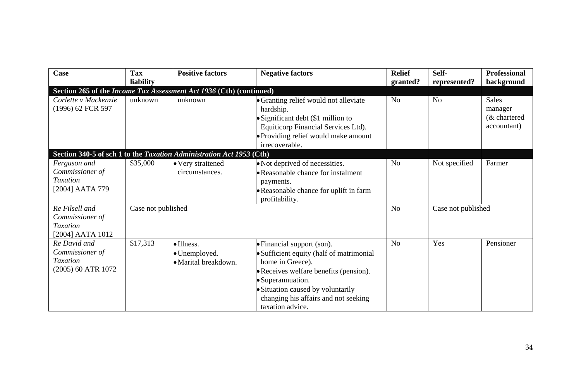| Case                                                                     | <b>Tax</b>         | <b>Positive factors</b>                                              | <b>Negative factors</b>                                                                                                                                                                                                                                    | <b>Relief</b>  | Self-              | Professional                                           |
|--------------------------------------------------------------------------|--------------------|----------------------------------------------------------------------|------------------------------------------------------------------------------------------------------------------------------------------------------------------------------------------------------------------------------------------------------------|----------------|--------------------|--------------------------------------------------------|
|                                                                          | liability          |                                                                      |                                                                                                                                                                                                                                                            | granted?       | represented?       | background                                             |
|                                                                          |                    | Section 265 of the Income Tax Assessment Act 1936 (Cth) (continued)  |                                                                                                                                                                                                                                                            |                |                    |                                                        |
| Corlette v Mackenzie<br>(1996) 62 FCR 597                                | unknown            | unknown                                                              | • Granting relief would not alleviate<br>hardship.<br>· Significant debt (\$1 million to<br>Equiticorp Financial Services Ltd).<br>• Providing relief would make amount<br>irrecoverable.                                                                  | N <sub>0</sub> | No                 | <b>Sales</b><br>manager<br>(& chartered<br>accountant) |
|                                                                          |                    | Section 340-5 of sch 1 to the Taxation Administration Act 1953 (Cth) |                                                                                                                                                                                                                                                            |                |                    |                                                        |
| Ferguson and<br>Commissioner of<br>Taxation<br>[2004] AATA 779           | \$35,000           | · Very straitened<br>circumstances.                                  | • Not deprived of necessities.<br>• Reasonable chance for instalment<br>payments.<br>• Reasonable chance for uplift in farm<br>profitability.                                                                                                              | No             | Not specified      | Farmer                                                 |
| Re Filsell and<br>Commissioner of<br>Taxation<br>[2004] AATA 1012        | Case not published |                                                                      |                                                                                                                                                                                                                                                            | N <sub>0</sub> | Case not published |                                                        |
| Re David and<br>Commissioner of<br><b>Taxation</b><br>(2005) 60 ATR 1072 | \$17,313           | ·Illness.<br>• Unemployed.<br>• Marital breakdown.                   | • Financial support (son).<br>• Sufficient equity (half of matrimonial<br>home in Greece).<br>• Receives welfare benefits (pension).<br>• Superannuation.<br>· Situation caused by voluntarily<br>changing his affairs and not seeking<br>taxation advice. | N <sub>0</sub> | Yes                | Pensioner                                              |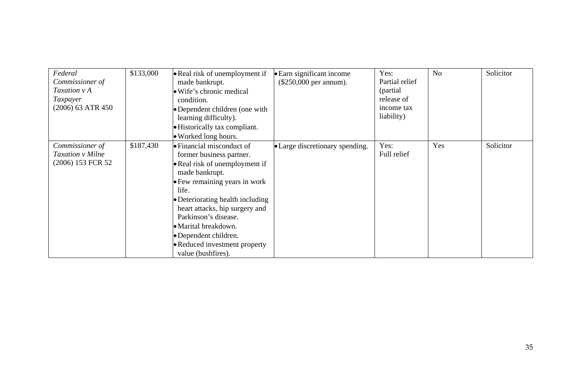| Federal<br>Commissioner of<br>Taxation v A<br>Taxpayer<br>(2006) 63 ATR 450 | \$133,000 | • Real risk of unemployment if<br>made bankrupt.<br>• Wife's chronic medical<br>condition.<br>• Dependent children (one with<br>learning difficulty).<br>• Historically tax compliant.<br>• Worked long hours.                                                                                                                                                    | • Earn significant income<br>$(\$250,000$ per annum). | Yes:<br>Partial relief<br>(partial)<br>release of<br>income tax<br>liability) | N <sub>o</sub> | Solicitor |
|-----------------------------------------------------------------------------|-----------|-------------------------------------------------------------------------------------------------------------------------------------------------------------------------------------------------------------------------------------------------------------------------------------------------------------------------------------------------------------------|-------------------------------------------------------|-------------------------------------------------------------------------------|----------------|-----------|
| Commissioner of<br>Taxation v Milne<br>(2006) 153 FCR 52                    | \$187,430 | $\bullet$ Financial misconduct of<br>former business partner.<br>• Real risk of unemployment if<br>made bankrupt.<br>• Few remaining years in work<br>life.<br>• Deteriorating health including<br>heart attacks, hip surgery and<br>Parkinson's disease.<br>• Marital breakdown.<br>• Dependent children.<br>• Reduced investment property<br>value (bushfires). | • Large discretionary spending.                       | Yes:<br>Full relief                                                           | Yes            | Solicitor |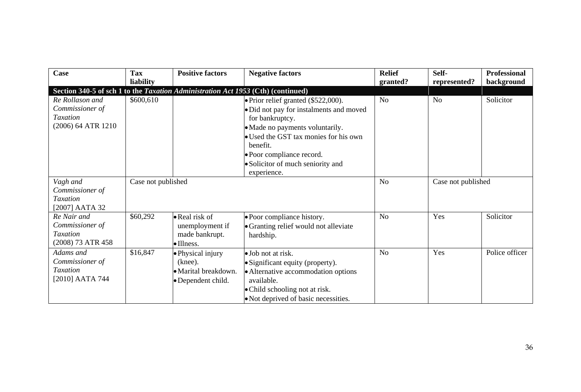| Case                                                                             | Tax<br>liability   | <b>Positive factors</b>                                                    | <b>Negative factors</b>                                                                                                                                                                                                                                                    | <b>Relief</b>  | Self-              | <b>Professional</b> |
|----------------------------------------------------------------------------------|--------------------|----------------------------------------------------------------------------|----------------------------------------------------------------------------------------------------------------------------------------------------------------------------------------------------------------------------------------------------------------------------|----------------|--------------------|---------------------|
| Section 340-5 of sch 1 to the Taxation Administration Act 1953 (Cth) (continued) |                    |                                                                            |                                                                                                                                                                                                                                                                            | granted?       | represented?       | background          |
| Re Rollason and<br>Commissioner of<br><b>Taxation</b><br>(2006) 64 ATR 1210      | \$600,610          |                                                                            | • Prior relief granted (\$522,000).<br>· Did not pay for instalments and moved<br>for bankruptcy.<br>• Made no payments voluntarily.<br>• Used the GST tax monies for his own<br>benefit.<br>• Poor compliance record.<br>• Solicitor of much seniority and<br>experience. | N <sub>0</sub> | N <sub>0</sub>     | Solicitor           |
| Vagh and<br>Commissioner of<br><b>Taxation</b><br>[2007] AATA 32                 | Case not published |                                                                            |                                                                                                                                                                                                                                                                            | N <sub>0</sub> | Case not published |                     |
| Re Nair and<br>Commissioner of<br>Taxation<br>(2008) 73 ATR 458                  | \$60,292           | • Real risk of<br>unemployment if<br>made bankrupt.<br>$\bullet$ Illness.  | · Poor compliance history.<br>• Granting relief would not alleviate<br>hardship.                                                                                                                                                                                           | N <sub>o</sub> | Yes                | Solicitor           |
| Adams and<br>Commissioner of<br>Taxation<br>[2010] AATA 744                      | \$16,847           | · Physical injury<br>(knee).<br>• Marital breakdown.<br>• Dependent child. | • Job not at risk.<br>· Significant equity (property).<br>• Alternative accommodation options<br>available.<br>• Child schooling not at risk.<br>• Not deprived of basic necessities.                                                                                      | N <sub>o</sub> | Yes                | Police officer      |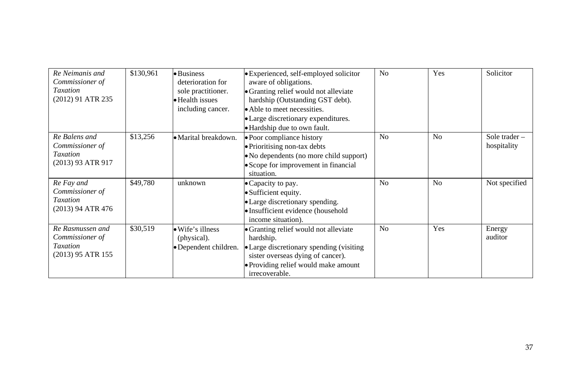| Re Neimanis and<br>Commissioner of<br><b>Taxation</b><br>(2012) 91 ATR 235  | \$130,961 | • Business<br>deterioration for<br>sole practitioner.<br>• Health issues<br>including cancer. | • Experienced, self-employed solicitor<br>aware of obligations.<br>• Granting relief would not alleviate<br>hardship (Outstanding GST debt).<br>• Able to meet necessities.<br>• Large discretionary expenditures.<br>• Hardship due to own fault. | N <sub>o</sub> | Yes            | Solicitor                    |
|-----------------------------------------------------------------------------|-----------|-----------------------------------------------------------------------------------------------|----------------------------------------------------------------------------------------------------------------------------------------------------------------------------------------------------------------------------------------------------|----------------|----------------|------------------------------|
| Re Balens and<br>Commissioner of<br><b>Taxation</b><br>(2013) 93 ATR 917    | \$13,256  | • Marital breakdown.                                                                          | • Poor compliance history<br>• Prioritising non-tax debts<br>• No dependents (no more child support)<br>• Scope for improvement in financial<br>situation.                                                                                         | No             | N <sub>o</sub> | Sole trader -<br>hospitality |
| Re Fay and<br>Commissioner of<br>Taxation<br>(2013) 94 ATR 476              | \$49,780  | unknown                                                                                       | • Capacity to pay.<br>• Sufficient equity.<br>• Large discretionary spending.<br>• Insufficient evidence (household<br>income situation).                                                                                                          | N <sub>0</sub> | N <sub>0</sub> | Not specified                |
| Re Rasmussen and<br>Commissioner of<br><b>Taxation</b><br>(2013) 95 ATR 155 | \$30,519  | • Wife's illness<br>(physical).<br>• Dependent children.                                      | • Granting relief would not alleviate<br>hardship.<br>• Large discretionary spending (visiting<br>sister overseas dying of cancer).<br>• Providing relief would make amount<br>irrecoverable.                                                      | N <sub>0</sub> | Yes            | Energy<br>auditor            |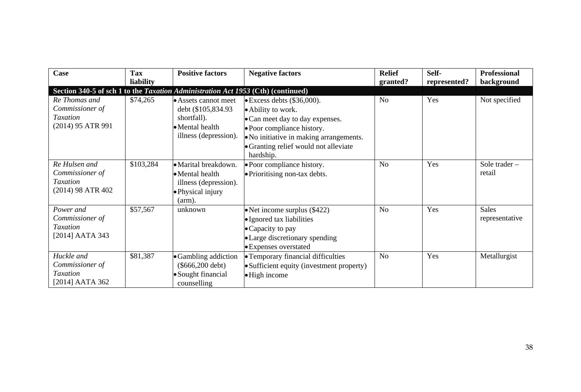| Case                                                                             | Tax<br>liability | <b>Positive factors</b>                                                                                | <b>Negative factors</b>                                                                                                                                                                                                    | <b>Relief</b><br>granted? | Self-<br>represented? | <b>Professional</b><br>background |
|----------------------------------------------------------------------------------|------------------|--------------------------------------------------------------------------------------------------------|----------------------------------------------------------------------------------------------------------------------------------------------------------------------------------------------------------------------------|---------------------------|-----------------------|-----------------------------------|
| Section 340-5 of sch 1 to the Taxation Administration Act 1953 (Cth) (continued) |                  |                                                                                                        |                                                                                                                                                                                                                            |                           |                       |                                   |
| Re Thomas and<br>Commissioner of<br><b>Taxation</b><br>(2014) 95 ATR 991         | \$74,265         | • Assets cannot meet<br>debt (\$105,834.93)<br>shortfall).<br>• Mental health<br>illness (depression). | $\bullet$ Excess debts (\$36,000).<br>• Ability to work.<br>• Can meet day to day expenses.<br>· Poor compliance history.<br>• No initiative in making arrangements.<br>• Granting relief would not alleviate<br>hardship. | N <sub>o</sub>            | Yes                   | Not specified                     |
| Re Hulsen and<br>Commissioner of<br>Taxation<br>(2014) 98 ATR 402                | \$103,284        | • Marital breakdown.<br>• Mental health<br>illness (depression).<br>• Physical injury<br>$arm)$ .      | • Poor compliance history.<br>· Prioritising non-tax debts.                                                                                                                                                                | N <sub>o</sub>            | Yes                   | Sole trader $-$<br>retail         |
| Power and<br>Commissioner of<br><b>Taxation</b><br>[2014] AATA 343               | \$57,567         | unknown                                                                                                | $\bullet$ Net income surplus (\$422)<br>· Ignored tax liabilities<br>• Capacity to pay<br>• Large discretionary spending<br>• Expenses overstated                                                                          |                           | Yes                   | <b>Sales</b><br>representative    |
| Huckle and<br>Commissioner of<br>Taxation<br>[2014] AATA 362                     | \$81,387         | • Gambling addiction<br>$(\$666,200$ debt)<br>• Sought financial<br>counselling                        | • Temporary financial difficulties<br>• Sufficient equity (investment property)<br>• High income                                                                                                                           | N <sub>0</sub>            | Yes                   | Metallurgist                      |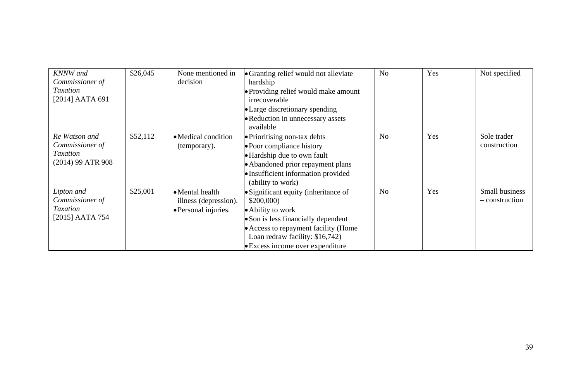| <b>KNNW</b> and<br>Commissioner of<br>Taxation<br>[2014] AATA 691        | \$26,045 | None mentioned in<br>decision                                    | • Granting relief would not alleviate<br>hardship<br>• Providing relief would make amount<br>irrecoverable<br>• Large discretionary spending<br>• Reduction in unnecessary assets<br>available                               | N <sub>0</sub> | Yes | Not specified                    |
|--------------------------------------------------------------------------|----------|------------------------------------------------------------------|------------------------------------------------------------------------------------------------------------------------------------------------------------------------------------------------------------------------------|----------------|-----|----------------------------------|
| Re Watson and<br>Commissioner of<br><b>Taxation</b><br>(2014) 99 ATR 908 | \$52,112 | • Medical condition<br>(temporary).                              | • Prioritising non-tax debts<br>• Poor compliance history<br>• Hardship due to own fault<br>• Abandoned prior repayment plans<br>· Insufficient information provided<br>(ability to work)                                    | N <sub>0</sub> | Yes | Sole trader -<br>construction    |
| Lipton and<br>Commissioner of<br><b>Taxation</b><br>[2015] AATA 754      | \$25,001 | • Mental health<br>illness (depression).<br>• Personal injuries. | • Significant equity (inheritance of<br>\$200,000<br>• Ability to work<br>• Son is less financially dependent<br>• Access to repayment facility (Home<br>Loan redraw facility: \$16,742)<br>• Excess income over expenditure | N <sub>0</sub> | Yes | Small business<br>- construction |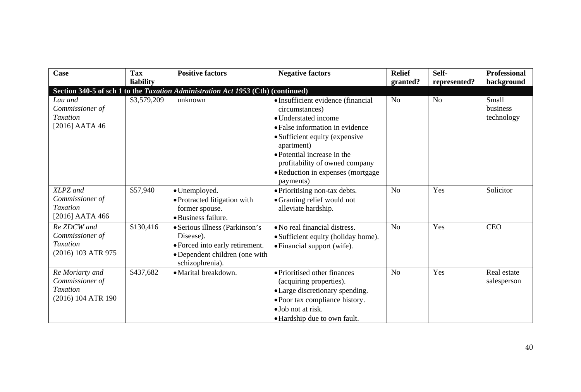| Case                                                                 | <b>Tax</b>  | <b>Positive factors</b>                                                                                                            | <b>Negative factors</b>                                                                                                                                                                                                                                                             | <b>Relief</b>  | Self-          | Professional                           |
|----------------------------------------------------------------------|-------------|------------------------------------------------------------------------------------------------------------------------------------|-------------------------------------------------------------------------------------------------------------------------------------------------------------------------------------------------------------------------------------------------------------------------------------|----------------|----------------|----------------------------------------|
|                                                                      | liability   |                                                                                                                                    |                                                                                                                                                                                                                                                                                     | granted?       | represented?   | background                             |
|                                                                      |             | Section 340-5 of sch 1 to the Taxation Administration Act 1953 (Cth) (continued)                                                   |                                                                                                                                                                                                                                                                                     |                |                |                                        |
| Lau and<br>Commissioner of<br>Taxation<br>$[2016]$ AATA 46           | \$3,579,209 | unknown                                                                                                                            | · Insufficient evidence (financial<br>circumstances)<br>• Understated income<br>• False information in evidence<br>• Sufficient equity (expensive<br>apartment)<br>• Potential increase in the<br>profitability of owned company<br>• Reduction in expenses (mortgage)<br>payments) | N <sub>o</sub> | N <sub>o</sub> | Small<br>$b$ usiness $-$<br>technology |
| XLPZ and<br>Commissioner of<br>Taxation<br>[2016] AATA 466           | \$57,940    | · Unemployed.<br>· Protracted litigation with<br>former spouse.<br>• Business failure.                                             | · Prioritising non-tax debts.<br>• Granting relief would not<br>alleviate hardship.                                                                                                                                                                                                 | No             | Yes            | Solicitor                              |
| Re ZDCW and<br>Commissioner of<br>Taxation<br>(2016) 103 ATR 975     | \$130,416   | · Serious illness (Parkinson's<br>Disease).<br>· Forced into early retirement.<br>·Dependent children (one with<br>schizophrenia). | • No real financial distress.<br>· Sufficient equity (holiday home).<br>• Financial support (wife).                                                                                                                                                                                 | No             | Yes            | <b>CEO</b>                             |
| Re Moriarty and<br>Commissioner of<br>Taxation<br>(2016) 104 ATR 190 | \$437,682   | • Marital breakdown.                                                                                                               | • Prioritised other finances<br>(acquiring properties).<br>• Large discretionary spending.<br>· Poor tax compliance history.<br>• Job not at risk.<br>• Hardship due to own fault.                                                                                                  | N <sub>0</sub> | Yes            | Real estate<br>salesperson             |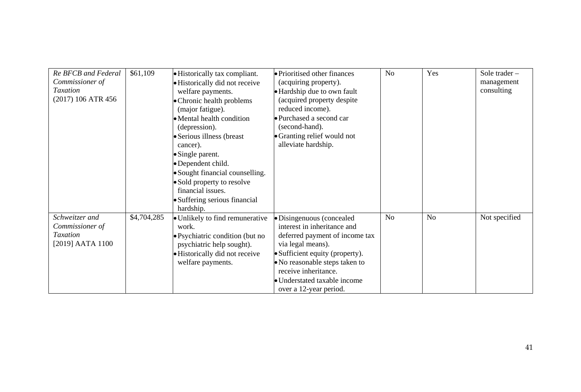| Re BFCB and Federal<br>Commissioner of<br><b>Taxation</b><br>(2017) 106 ATR 456 | \$61,109    | • Historically tax compliant.<br>• Historically did not receive<br>welfare payments.<br>• Chronic health problems<br>(major fatigue).<br>• Mental health condition<br>(depression).<br>• Serious illness (breast<br>cancer).<br>• Single parent.<br>• Dependent child.<br>· Sought financial counselling.<br>• Sold property to resolve<br>financial issues.<br>· Suffering serious financial<br>hardship. | • Prioritised other finances<br>(acquiring property).<br>• Hardship due to own fault<br>(acquired property despite)<br>reduced income).<br>· Purchased a second car<br>(second-hand).<br>• Granting relief would not<br>alleviate hardship.                            | N <sub>0</sub> | Yes | Sole trader $-$<br>management<br>consulting |
|---------------------------------------------------------------------------------|-------------|------------------------------------------------------------------------------------------------------------------------------------------------------------------------------------------------------------------------------------------------------------------------------------------------------------------------------------------------------------------------------------------------------------|------------------------------------------------------------------------------------------------------------------------------------------------------------------------------------------------------------------------------------------------------------------------|----------------|-----|---------------------------------------------|
| Schweitzer and<br>Commissioner of<br><b>Taxation</b><br>[2019] AATA 1100        | \$4,704,285 | · Unlikely to find remunerative<br>work.<br>• Psychiatric condition (but no<br>psychiatric help sought).<br>• Historically did not receive<br>welfare payments.                                                                                                                                                                                                                                            | · Disingenuous (concealed<br>interest in inheritance and<br>deferred payment of income tax<br>via legal means).<br>• Sufficient equity (property).<br>• No reasonable steps taken to<br>receive inheritance.<br>· Understated taxable income<br>over a 12-year period. | No             | No  | Not specified                               |